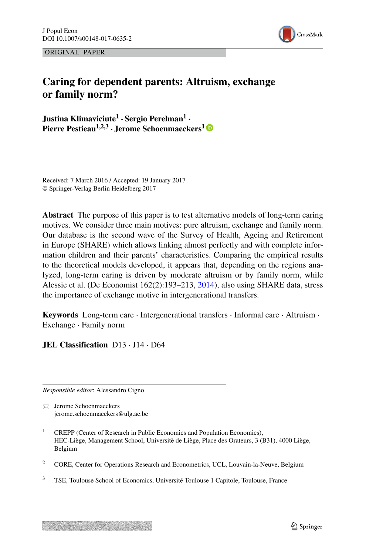ORIGINAL PAPER



# **Caring for dependent parents: Altruism, exchange or family norm?**

**Justina Klimaviciute1 · Sergio Perelman1 · Pierre Pestieau1,2,3 · Jerome Schoenmaeckers<sup>1</sup>**

Received: 7 March 2016 / Accepted: 19 January 2017 © Springer-Verlag Berlin Heidelberg 2017

**Abstract** The purpose of this paper is to test alternative models of long-term caring motives. We consider three main motives: pure altruism, exchange and family norm. Our database is the second wave of the Survey of Health, Ageing and Retirement in Europe (SHARE) which allows linking almost perfectly and with complete information children and their parents' characteristics. Comparing the empirical results to the theoretical models developed, it appears that, depending on the regions analyzed, long-term caring is driven by moderate altruism or by family norm, while Alessie et al. (De Economist 162(2):193–213, [2014\)](#page-37-0), also using SHARE data, stress the importance of exchange motive in intergenerational transfers.

**Keywords** Long-term care · Intergenerational transfers · Informal care · Altruism · Exchange · Family norm

**JEL Classification** D13 · J14 · D64

*Responsible editor*: Alessandro Cigno

- Jerome Schoenmaeckers [jerome.schoenmaeckers@ulg.ac.be](mailto:jerome.schoenmaeckers@ulg.ac.be)

- <sup>2</sup> CORE, Center for Operations Research and Econometrics, UCL, Louvain-la-Neuve, Belgium
- <sup>3</sup> TSE, Toulouse School of Economics, Université Toulouse 1 Capitole, Toulouse, France

<sup>1</sup> CREPP (Center of Research in Public Economics and Population Economics), HEC-Liège, Management School, Universitè de Liège, Place des Orateurs, 3 (B31), 4000 Liège, Belgium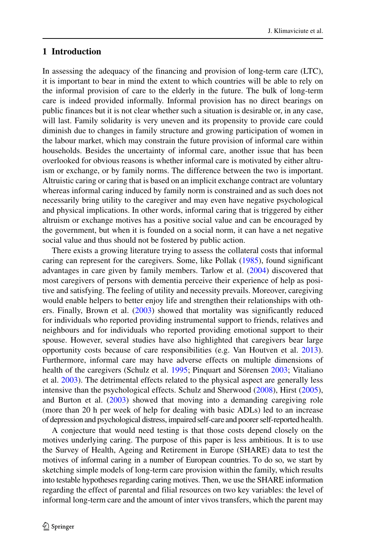### <span id="page-1-0"></span>**1 Introduction**

In assessing the adequacy of the financing and provision of long-term care (LTC), it is important to bear in mind the extent to which countries will be able to rely on the informal provision of care to the elderly in the future. The bulk of long-term care is indeed provided informally. Informal provision has no direct bearings on public finances but it is not clear whether such a situation is desirable or, in any case, will last. Family solidarity is very uneven and its propensity to provide care could diminish due to changes in family structure and growing participation of women in the labour market, which may constrain the future provision of informal care within households. Besides the uncertainty of informal care, another issue that has been overlooked for obvious reasons is whether informal care is motivated by either altruism or exchange, or by family norms. The difference between the two is important. Altruistic caring or caring that is based on an implicit exchange contract are voluntary whereas informal caring induced by family norm is constrained and as such does not necessarily bring utility to the caregiver and may even have negative psychological and physical implications. In other words, informal caring that is triggered by either altruism or exchange motives has a positive social value and can be encouraged by the government, but when it is founded on a social norm, it can have a net negative social value and thus should not be fostered by public action.

There exists a growing literature trying to assess the collateral costs that informal caring can represent for the caregivers. Some, like Pollak [\(1985\)](#page-38-0), found significant advantages in care given by family members. Tarlow et al. [\(2004\)](#page-38-1) discovered that most caregivers of persons with dementia perceive their experience of help as positive and satisfying. The feeling of utility and necessity prevails. Moreover, caregiving would enable helpers to better enjoy life and strengthen their relationships with others. Finally, Brown et al. [\(2003\)](#page-37-1) showed that mortality was significantly reduced for individuals who reported providing instrumental support to friends, relatives and neighbours and for individuals who reported providing emotional support to their spouse. However, several studies have also highlighted that caregivers bear large opportunity costs because of care responsibilities (e.g. Van Houtven et al. [2013\)](#page-38-2). Furthermore, informal care may have adverse effects on multiple dimensions of health of the caregivers (Schulz et al. [1995;](#page-38-3) Pinquart and Sörensen [2003;](#page-38-4) Vitaliano et al. [2003\)](#page-38-5). The detrimental effects related to the physical aspect are generally less intensive than the psychological effects. Schulz and Sherwood [\(2008\)](#page-38-6), Hirst [\(2005\)](#page-38-7), and Burton et al. [\(2003\)](#page-37-2) showed that moving into a demanding caregiving role (more than 20 h per week of help for dealing with basic ADLs) led to an increase of depression and psychological distress, impaired self-care and poorer self-reported health.

A conjecture that would need testing is that those costs depend closely on the motives underlying caring. The purpose of this paper is less ambitious. It is to use the Survey of Health, Ageing and Retirement in Europe (SHARE) data to test the motives of informal caring in a number of European countries. To do so, we start by sketching simple models of long-term care provision within the family, which results into testable hypotheses regarding caring motives. Then, we use the SHARE information regarding the effect of parental and filial resources on two key variables: the level of informal long-term care and the amount of inter vivos transfers, which the parent may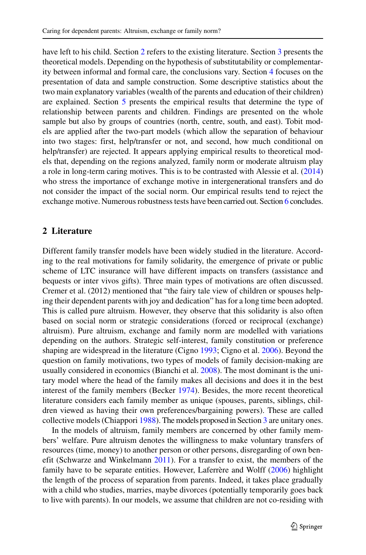have left to his child. Section [2](#page-2-0) refers to the existing literature. Section [3](#page-4-0) presents the theoretical models. Depending on the hypothesis of substitutability or complementarity between informal and formal care, the conclusions vary. Section [4](#page-11-0) focuses on the presentation of data and sample construction. Some descriptive statistics about the two main explanatory variables (wealth of the parents and education of their children) are explained. Section [5](#page-17-0) presents the empirical results that determine the type of relationship between parents and children. Findings are presented on the whole sample but also by groups of countries (north, centre, south, and east). Tobit models are applied after the two-part models (which allow the separation of behaviour into two stages: first, help/transfer or not, and second, how much conditional on help/transfer) are rejected. It appears applying empirical results to theoretical models that, depending on the regions analyzed, family norm or moderate altruism play a role in long-term caring motives. This is to be contrasted with Alessie et al. [\(2014\)](#page-37-0) who stress the importance of exchange motive in intergenerational transfers and do not consider the impact of the social norm. Our empirical results tend to reject the exchange motive. Numerous robustness tests have been carried out. Section [6](#page-30-0) concludes.

### <span id="page-2-0"></span>**2 Literature**

Different family transfer models have been widely studied in the literature. According to the real motivations for family solidarity, the emergence of private or public scheme of LTC insurance will have different impacts on transfers (assistance and bequests or inter vivos gifts). Three main types of motivations are often discussed. Cremer et al. (2012) mentioned that "the fairy tale view of children or spouses helping their dependent parents with joy and dedication" has for a long time been adopted. This is called pure altruism. However, they observe that this solidarity is also often based on social norm or strategic considerations (forced or reciprocal (exchange) altruism). Pure altruism, exchange and family norm are modelled with variations depending on the authors. Strategic self-interest, family constitution or preference shaping are widespread in the literature (Cigno [1993;](#page-37-3) Cigno et al. [2006\)](#page-37-4). Beyond the question on family motivations, two types of models of family decision-making are usually considered in economics (Bianchi et al. [2008\)](#page-37-5). The most dominant is the unitary model where the head of the family makes all decisions and does it in the best interest of the family members (Becker [1974\)](#page-37-6). Besides, the more recent theoretical literature considers each family member as unique (spouses, parents, siblings, children viewed as having their own preferences/bargaining powers). These are called collective models (Chiappori [1988\)](#page-37-7). The models proposed in Section [3](#page-4-0) are unitary ones.

In the models of altruism, family members are concerned by other family members' welfare. Pure altruism denotes the willingness to make voluntary transfers of resources (time, money) to another person or other persons, disregarding of own benefit (Schwarze and Winkelmann [2011\)](#page-38-8). For a transfer to exist, the members of the family have to be separate entities. However, Laferrère and Wolff  $(2006)$  $(2006)$  highlight the length of the process of separation from parents. Indeed, it takes place gradually with a child who studies, marries, maybe divorces (potentially temporarily goes back to live with parents). In our models, we assume that children are not co-residing with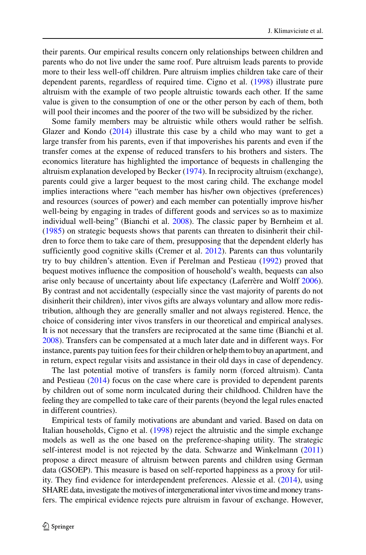their parents. Our empirical results concern only relationships between children and parents who do not live under the same roof. Pure altruism leads parents to provide more to their less well-off children. Pure altruism implies children take care of their dependent parents, regardless of required time. Cigno et al. [\(1998\)](#page-37-8) illustrate pure altruism with the example of two people altruistic towards each other. If the same value is given to the consumption of one or the other person by each of them, both will pool their incomes and the poorer of the two will be subsidized by the richer.

Some family members may be altruistic while others would rather be selfish. Glazer and Kondo [\(2014\)](#page-38-10) illustrate this case by a child who may want to get a large transfer from his parents, even if that impoverishes his parents and even if the transfer comes at the expense of reduced transfers to his brothers and sisters. The economics literature has highlighted the importance of bequests in challenging the altruism explanation developed by Becker [\(1974\)](#page-37-6). In reciprocity altruism (exchange), parents could give a larger bequest to the most caring child. The exchange model implies interactions where "each member has his/her own objectives (preferences) and resources (sources of power) and each member can potentially improve his/her well-being by engaging in trades of different goods and services so as to maximize individual well-being" (Bianchi et al. [2008\)](#page-37-5). The classic paper by Bernheim et al. [\(1985\)](#page-37-9) on strategic bequests shows that parents can threaten to disinherit their children to force them to take care of them, presupposing that the dependent elderly has sufficiently good cognitive skills (Cremer et al. [2012\)](#page-37-10). Parents can thus voluntarily try to buy children's attention. Even if Perelman and Pestieau [\(1992\)](#page-38-11) proved that bequest motives influence the composition of household's wealth, bequests can also arise only because of uncertainty about life expectancy (Laferrere and Wolff [2006\)](#page-38-9). By contrast and not accidentally (especially since the vast majority of parents do not disinherit their children), inter vivos gifts are always voluntary and allow more redistribution, although they are generally smaller and not always registered. Hence, the choice of considering inter vivos transfers in our theoretical and empirical analyses. It is not necessary that the transfers are reciprocated at the same time (Bianchi et al. [2008\)](#page-37-5). Transfers can be compensated at a much later date and in different ways. For instance, parents pay tuition fees for their children or help them to buy an apartment, and in return, expect regular visits and assistance in their old days in case of dependency.

The last potential motive of transfers is family norm (forced altruism). Canta and Pestieau [\(2014\)](#page-37-11) focus on the case where care is provided to dependent parents by children out of some norm inculcated during their childhood. Children have the feeling they are compelled to take care of their parents (beyond the legal rules enacted in different countries).

Empirical tests of family motivations are abundant and varied. Based on data on Italian households, Cigno et al. [\(1998\)](#page-37-8) reject the altruistic and the simple exchange models as well as the one based on the preference-shaping utility. The strategic self-interest model is not rejected by the data. Schwarze and Winkelmann [\(2011\)](#page-38-8) propose a direct measure of altruism between parents and children using German data (GSOEP). This measure is based on self-reported happiness as a proxy for utility. They find evidence for interdependent preferences. Alessie et al. [\(2014\)](#page-37-0), using SHARE data, investigate the motives of intergenerational inter vivos time and money transfers. The empirical evidence rejects pure altruism in favour of exchange. However,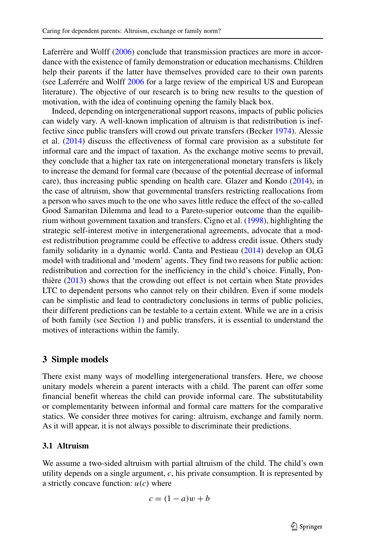Laferreire and Wolff  $(2006)$  $(2006)$  conclude that transmission practices are more in accordance with the existence of family demonstration or education mechanisms. Children help their parents if the latter have themselves provided care to their own parents (see Laferrere and Wolff  $2006$  for a large review of the empirical US and European literature). The objective of our research is to bring new results to the question of motivation, with the idea of continuing opening the family black box.

Indeed, depending on intergenerational support reasons, impacts of public policies can widely vary. A well-known implication of altruism is that redistribution is ineffective since public transfers will crowd out private transfers (Becker [1974\)](#page-37-6). Alessie et al. [\(2014\)](#page-37-0) discuss the effectiveness of formal care provision as a substitute for informal care and the impact of taxation. As the exchange motive seems to prevail, they conclude that a higher tax rate on intergenerational monetary transfers is likely to increase the demand for formal care (because of the potential decrease of informal care), thus increasing public spending on health care. Glazer and Kondo [\(2014\)](#page-38-10), in the case of altruism, show that governmental transfers restricting reallocations from a person who saves much to the one who saves little reduce the effect of the so-called Good Samaritan Dilemma and lead to a Pareto-superior outcome than the equilibrium without government taxation and transfers. Cigno et al. [\(1998\)](#page-37-8), highlighting the strategic self-interest motive in intergenerational agreements, advocate that a modest redistribution programme could be effective to address credit issue. Others study family solidarity in a dynamic world. Canta and Pestieau [\(2014\)](#page-37-11) develop an OLG model with traditional and 'modern' agents. They find two reasons for public action: redistribution and correction for the inefficiency in the child's choice. Finally, Ponthière  $(2013)$  $(2013)$  shows that the crowding out effect is not certain when State provides LTC to dependent persons who cannot rely on their children. Even if some models can be simplistic and lead to contradictory conclusions in terms of public policies, their different predictions can be testable to a certain extent. While we are in a crisis of both family (see Section [1\)](#page-1-0) and public transfers, it is essential to understand the motives of interactions within the family.

### <span id="page-4-0"></span>**3 Simple models**

There exist many ways of modelling intergenerational transfers. Here, we choose unitary models wherein a parent interacts with a child. The parent can offer some financial benefit whereas the child can provide informal care. The substitutability or complementarity between informal and formal care matters for the comparative statics. We consider three motives for caring: altruism, exchange and family norm. As it will appear, it is not always possible to discriminate their predictions.

### <span id="page-4-1"></span>**3.1 Altruism**

We assume a two-sided altruism with partial altruism of the child. The child's own utility depends on a single argument, *c*, his private consumption. It is represented by a strictly concave function:  $u(c)$  where

$$
c = (1 - a)w + b
$$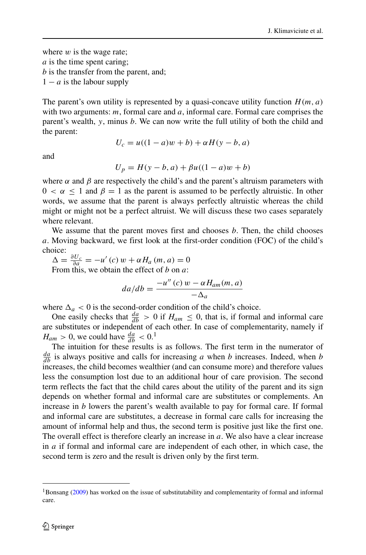where *w* is the wage rate; *a* is the time spent caring; *b* is the transfer from the parent, and;  $1 - a$  is the labour supply

The parent's own utility is represented by a quasi-concave utility function *H(m, a)* with two arguments: *m*, formal care and *a*, informal care. Formal care comprises the parent's wealth, *y*, minus *b*. We can now write the full utility of both the child and the parent:

$$
U_c = u((1 - a)w + b) + \alpha H(y - b, a)
$$

and

$$
U_p = H(y - b, a) + \beta u((1 - a)w + b)
$$

where  $\alpha$  and  $\beta$  are respectively the child's and the parent's altruism parameters with  $0 < \alpha < 1$  and  $\beta = 1$  as the parent is assumed to be perfectly altruistic. In other words, we assume that the parent is always perfectly altruistic whereas the child might or might not be a perfect altruist. We will discuss these two cases separately where relevant.

We assume that the parent moves first and chooses *b*. Then, the child chooses *a*. Moving backward, we first look at the first-order condition (FOC) of the child's choice:

 $\Delta = \frac{\partial U_c}{\partial a} = -u'(c) w + \alpha H_a(m, a) = 0$ From this, we obtain the effect of *b* on *a*:

$$
da/db = \frac{-u''(c) w - \alpha H_{am}(m, a)}{-\Delta_a}
$$

where  $\Delta_a$  < 0 is the second-order condition of the child's choice.

One easily checks that  $\frac{da}{db} > 0$  if  $H_{am} \le 0$ , that is, if formal and informal care are substitutes or independent of each other. In case of complementarity, namely if  $H_{am} > 0$ , we could have  $\frac{da}{db} < 0$ .<sup>[1](#page-5-0)</sup>

The intuition for these results is as follows. The first term in the numerator of  $\frac{da}{db}$  is always positive and calls for increasing *a* when *b* increases. Indeed, when *b* increases, the child becomes wealthier (and can consume more) and therefore values less the consumption lost due to an additional hour of care provision. The second term reflects the fact that the child cares about the utility of the parent and its sign depends on whether formal and informal care are substitutes or complements. An increase in *b* lowers the parent's wealth available to pay for formal care. If formal and informal care are substitutes, a decrease in formal care calls for increasing the amount of informal help and thus, the second term is positive just like the first one. The overall effect is therefore clearly an increase in *a*. We also have a clear increase in *a* if formal and informal care are independent of each other, in which case, the second term is zero and the result is driven only by the first term.

<span id="page-5-0"></span><sup>1</sup>Bonsang [\(2009\)](#page-37-12) has worked on the issue of substitutability and complementarity of formal and informal care.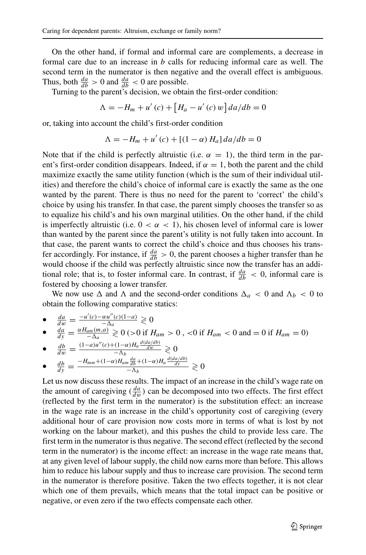On the other hand, if formal and informal care are complements, a decrease in formal care due to an increase in *b* calls for reducing informal care as well. The second term in the numerator is then negative and the overall effect is ambiguous. Thus, both  $\frac{da}{db} > 0$  and  $\frac{da}{db} < 0$  are possible.

Turning to the parent's decision, we obtain the first-order condition:

$$
\Lambda = -H_m + u'(c) + [H_a - u'(c) w] da/db = 0
$$

or, taking into account the child's first-order condition

$$
\Lambda = -H_m + u'(c) + [(1 - \alpha) H_a] da/db = 0
$$

Note that if the child is perfectly altruistic (i.e.  $\alpha = 1$ ), the third term in the parent's first-order condition disappears. Indeed, if  $\alpha = 1$ , both the parent and the child maximize exactly the same utility function (which is the sum of their individual utilities) and therefore the child's choice of informal care is exactly the same as the one wanted by the parent. There is thus no need for the parent to 'correct' the child's choice by using his transfer. In that case, the parent simply chooses the transfer so as to equalize his child's and his own marginal utilities. On the other hand, if the child is imperfectly altruistic (i.e.  $0 < \alpha < 1$ ), his chosen level of informal care is lower than wanted by the parent since the parent's utility is not fully taken into account. In that case, the parent wants to correct the child's choice and thus chooses his transfer accordingly. For instance, if  $\frac{da}{db} > 0$ , the parent chooses a higher transfer than he would choose if the child was perfectly altruistic since now the transfer has an additional role; that is, to foster informal care. In contrast, if  $\frac{da}{db} < 0$ , informal care is fostered by choosing a lower transfer.

We now use  $\Delta$  and  $\Lambda$  and the second-order conditions  $\Delta_a < 0$  and  $\Lambda_b < 0$  to obtain the following comparative statics:

$$
\bullet \quad \frac{da}{dw} = \frac{-u'(c) - w u''(c)(1-a)}{-\Delta_a} \gtrless 0
$$

• 
$$
\frac{du}{dy} = \frac{\alpha H_{am}(m, a)}{-\Delta_a} \gtrless 0 \qquad (>0 \text{ if } H_{am} > 0 \text{ , } <0 \text{ if } H_{am} < 0 \text{ and } =0 \text{ if } H_{am} = 0)
$$

• 
$$
\frac{db}{dw} = \frac{(1-a)u''(c) + (1-\alpha)H_a \frac{d(da/db)}{dw}}{-\Lambda_b} \geq 0
$$

• 
$$
\frac{db}{dy} = \frac{-H_{mm} + (1-\alpha)H_{am}\frac{da}{db} + (1-\alpha)H_a\frac{d(da/db)}{dy}}{-\Lambda_b} \geq 0
$$

Let us now discuss these results. The impact of an increase in the child's wage rate on the amount of caregiving  $\left(\frac{da}{dw}\right)$  can be decomposed into two effects. The first effect (reflected by the first term in the numerator) is the substitution effect: an increase in the wage rate is an increase in the child's opportunity cost of caregiving (every additional hour of care provision now costs more in terms of what is lost by not working on the labour market), and this pushes the child to provide less care. The first term in the numerator is thus negative. The second effect (reflected by the second term in the numerator) is the income effect: an increase in the wage rate means that, at any given level of labour supply, the child now earns more than before. This allows him to reduce his labour supply and thus to increase care provision. The second term in the numerator is therefore positive. Taken the two effects together, it is not clear which one of them prevails, which means that the total impact can be positive or negative, or even zero if the two effects compensate each other.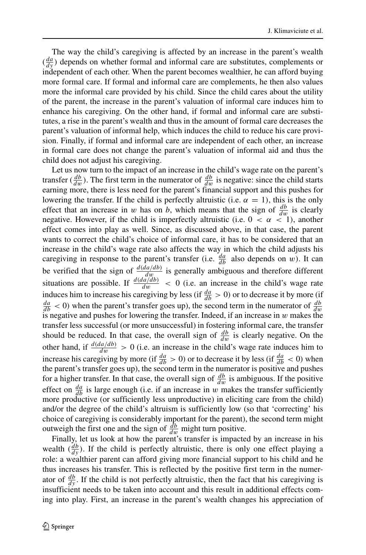The way the child's caregiving is affected by an increase in the parent's wealth  $\left(\frac{da}{dy}\right)$  depends on whether formal and informal care are substitutes, complements or independent of each other. When the parent becomes wealthier, he can afford buying more formal care. If formal and informal care are complements, he then also values more the informal care provided by his child. Since the child cares about the utility of the parent, the increase in the parent's valuation of informal care induces him to enhance his caregiving. On the other hand, if formal and informal care are substitutes, a rise in the parent's wealth and thus in the amount of formal care decreases the parent's valuation of informal help, which induces the child to reduce his care provision. Finally, if formal and informal care are independent of each other, an increase in formal care does not change the parent's valuation of informal aid and thus the child does not adjust his caregiving.

Let us now turn to the impact of an increase in the child's wage rate on the parent's transfer  $(\frac{db}{dw})$ . The first term in the numerator of  $\frac{db}{dw}$  is negative: since the child starts earning more, there is less need for the parent's financial support and this pushes for lowering the transfer. If the child is perfectly altruistic (i.e.  $\alpha = 1$ ), this is the only effect that an increase in *w* has on *b*, which means that the sign of  $\frac{db}{dw}$  is clearly negative. However, if the child is imperfectly altruistic (i.e.  $0 < \alpha < 1$ ), another effect comes into play as well. Since, as discussed above, in that case, the parent wants to correct the child's choice of informal care, it has to be considered that an increase in the child's wage rate also affects the way in which the child adjusts his caregiving in response to the parent's transfer (i.e.  $\frac{da}{db}$  also depends on *w*). It can be verified that the sign of  $\frac{d(da/db)}{d\theta}$  is generally ambiguous and therefore different situations are possible. If  $\frac{d(d a/d b)}{d w} < 0$  (i.e. an increase in the child's wage rate induces him to increase his caregiving by less (if  $\frac{da}{db} > 0$ ) or to decrease it by more (if  $\frac{da}{db}$  < 0) when the parent's transfer goes up), the second term in the numerator of  $\frac{db}{dw}$  is negative and pushes for lowering the transfer. Indeed, if an increase in w makes the transfer less successful (or more unsuccessful) in fostering informal care, the transfer should be reduced. In that case, the overall sign of  $\frac{db}{dw}$  is clearly negative. On the other hand, if  $\frac{d(d a/d b)}{d w} > 0$  (i.e. an increase in the child's wage rate induces him to increase his caregiving by more (if  $\frac{da}{db} > 0$ ) or to decrease it by less (if  $\frac{da}{db} < 0$ ) when the parent's transfer goes up), the second term in the numerator is positive and pushes for a higher transfer. In that case, the overall sign of  $\frac{db}{dw}$  is ambiguous. If the positive effect on  $\frac{da}{db}$  is large enough (i.e. if an increase in *w* makes the transfer sufficiently more productive (or sufficiently less unproductive) in eliciting care from the child) and/or the degree of the child's altruism is sufficiently low (so that 'correcting' his choice of caregiving is considerably important for the parent), the second term might outweigh the first one and the sign of  $\frac{db}{dw}$  might turn positive.

Finally, let us look at how the parent's transfer is impacted by an increase in his wealth  $(\frac{db}{dy})$ . If the child is perfectly altruistic, there is only one effect playing a role: a wealthier parent can afford giving more financial support to his child and he thus increases his transfer. This is reflected by the positive first term in the numerator of  $\frac{db}{dy}$ . If the child is not perfectly altruistic, then the fact that his caregiving is insufficient needs to be taken into account and this result in additional effects coming into play. First, an increase in the parent's wealth changes his appreciation of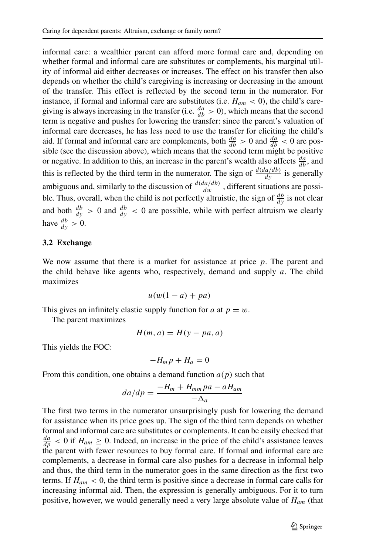informal care: a wealthier parent can afford more formal care and, depending on whether formal and informal care are substitutes or complements, his marginal utility of informal aid either decreases or increases. The effect on his transfer then also depends on whether the child's caregiving is increasing or decreasing in the amount of the transfer. This effect is reflected by the second term in the numerator. For instance, if formal and informal care are substitutes (i.e.  $H_{am} < 0$ ), the child's caregiving is always increasing in the transfer (i.e.  $\frac{da}{db} > 0$ ), which means that the second term is negative and pushes for lowering the transfer: since the parent's valuation of informal care decreases, he has less need to use the transfer for eliciting the child's aid. If formal and informal care are complements, both  $\frac{da}{db} > 0$  and  $\frac{da}{db} < 0$  are possible (see the discussion above), which means that the second term might be positive or negative. In addition to this, an increase in the parent's wealth also affects  $\frac{da}{db}$ , and this is reflected by the third term in the numerator. The sign of  $\frac{d(da/db)}{dy}$  is generally ambiguous and, similarly to the discussion of  $\frac{d(d a/d b)}{d w}$ , different situations are possible. Thus, overall, when the child is not perfectly altruistic, the sign of  $\frac{db}{dy}$  is not clear and both  $\frac{db}{dy} > 0$  and  $\frac{db}{dy} < 0$  are possible, while with perfect altruism we clearly have  $\frac{db}{dy} > 0$ .

### **3.2 Exchange**

We now assume that there is a market for assistance at price *p*. The parent and the child behave like agents who, respectively, demand and supply *a*. The child maximizes

$$
u(w(1-a)+pa)
$$

This gives an infinitely elastic supply function for *a* at  $p = w$ .

The parent maximizes

$$
H(m, a) = H(y - pa, a)
$$

This yields the FOC:

$$
-H_m p + H_a = 0
$$

From this condition, one obtains a demand function  $a(p)$  such that

$$
da/dp = \frac{-H_m + H_{mm}pa - aH_{am}}{-\Delta_a}
$$

The first two terms in the numerator unsurprisingly push for lowering the demand for assistance when its price goes up. The sign of the third term depends on whether formal and informal care are substitutes or complements. It can be easily checked that  $\frac{da}{dp}$  < 0 if  $H_{am} \ge 0$ . Indeed, an increase in the price of the child's assistance leaves the parent with fewer resources to buy formal care. If formal and informal care are complements, a decrease in formal care also pushes for a decrease in informal help and thus, the third term in the numerator goes in the same direction as the first two terms. If  $H_{am}$  < 0, the third term is positive since a decrease in formal care calls for increasing informal aid. Then, the expression is generally ambiguous. For it to turn positive, however, we would generally need a very large absolute value of *Ham* (that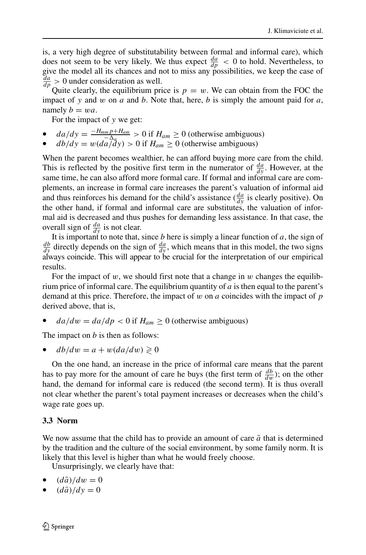is, a very high degree of substitutability between formal and informal care), which does not seem to be very likely. We thus expect  $\frac{da}{dp} < 0$  to hold. Nevertheless, to give the model all its chances and not to miss any possibilities, we keep the case of  $\frac{da}{dp} > 0$  under consideration as well.

Quite clearly, the equilibrium price is  $p = w$ . We can obtain from the FOC the impact of *y* and *w* on *a* and *b*. Note that, here, *b* is simply the amount paid for *a*, namely  $b = wa$ .

For the impact of *y* we get:

- $da/dy = \frac{-H_{mm}p + H_{am}}{2a} > 0$  if  $H_{am} \ge 0$  (otherwise ambiguous)
- $db/dy = w(da/dy) > 0$  if  $H_{am} \ge 0$  (otherwise ambiguous)

When the parent becomes wealthier, he can afford buying more care from the child. This is reflected by the positive first term in the numerator of  $\frac{da}{dy}$ . However, at the same time, he can also afford more formal care. If formal and informal care are complements, an increase in formal care increases the parent's valuation of informal aid and thus reinforces his demand for the child's assistance  $\left(\frac{da}{dy}\right)$  is clearly positive). On the other hand, if formal and informal care are substitutes, the valuation of informal aid is decreased and thus pushes for demanding less assistance. In that case, the overall sign of  $\frac{da}{dy}$  is not clear.

It is important to note that, since *b* here is simply a linear function of *a*, the sign of  $\frac{db}{dy}$  directly depends on the sign of  $\frac{da}{dy}$ , which means that in this model, the two signs always coincide. This will appear to be crucial for the interpretation of our empirical results.

For the impact of  $w$ , we should first note that a change in  $w$  changes the equilibrium price of informal care. The equilibrium quantity of *a* is then equal to the parent's demand at this price. Therefore, the impact of *w* on *a* coincides with the impact of *p* derived above, that is,

 $da/dw = da/dp < 0$  if  $H_{am} \ge 0$  (otherwise ambiguous)

The impact on *b* is then as follows:

 $db/dw = a + w(da/dw) \geqslant 0$ 

On the one hand, an increase in the price of informal care means that the parent has to pay more for the amount of care he buys (the first term of  $\frac{db}{dw}$ ); on the other hand, the demand for informal care is reduced (the second term). It is thus overall not clear whether the parent's total payment increases or decreases when the child's wage rate goes up.

# **3.3 Norm**

We now assume that the child has to provide an amount of care  $\bar{a}$  that is determined by the tradition and the culture of the social environment, by some family norm. It is likely that this level is higher than what he would freely choose.

Unsurprisingly, we clearly have that:

- $(d\bar{a})/dw = 0$
- $(d\bar{a})/dy = 0$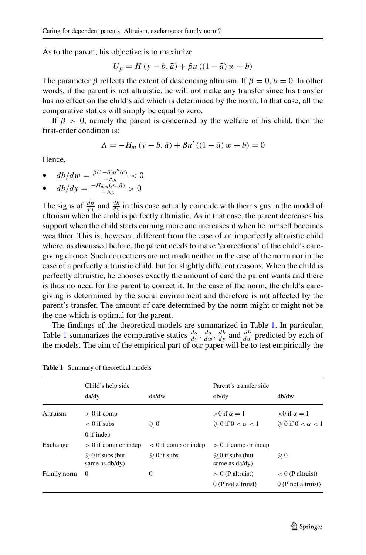As to the parent, his objective is to maximize

$$
U_p = H (y - b, \bar{a}) + \beta u ((1 - \bar{a}) w + b)
$$

The parameter  $\beta$  reflects the extent of descending altruism. If  $\beta = 0$ ,  $b = 0$ . In other words, if the parent is not altruistic, he will not make any transfer since his transfer has no effect on the child's aid which is determined by the norm. In that case, all the comparative statics will simply be equal to zero.

If  $\beta > 0$ , namely the parent is concerned by the welfare of his child, then the first-order condition is:

$$
\Lambda = -H_m (y - b, \bar{a}) + \beta u' ((1 - \bar{a}) w + b) = 0
$$

Hence,

• 
$$
db/dw = \frac{\beta(1-\bar{a})u''(c)}{-\Delta_b} < 0
$$

• 
$$
db/dy = \frac{-H_{mm}(m,\bar{a})}{-\Lambda_b} > 0
$$

The signs of  $\frac{db}{dw}$  and  $\frac{db}{dy}$  in this case actually coincide with their signs in the model of altruism when the child is perfectly altruistic. As in that case, the parent decreases his support when the child starts earning more and increases it when he himself becomes wealthier. This is, however, different from the case of an imperfectly altruistic child where, as discussed before, the parent needs to make 'corrections' of the child's caregiving choice. Such corrections are not made neither in the case of the norm nor in the case of a perfectly altruistic child, but for slightly different reasons. When the child is perfectly altruistic, he chooses exactly the amount of care the parent wants and there is thus no need for the parent to correct it. In the case of the norm, the child's caregiving is determined by the social environment and therefore is not affected by the parent's transfer. The amount of care determined by the norm might or might not be the one which is optimal for the parent.

The findings of the theoretical models are summarized in Table [1.](#page-10-0) In particular, Table [1](#page-10-0) summarizes the comparative statics  $\frac{da}{dy}$ ,  $\frac{da}{dw}$ ,  $\frac{db}{dy}$  and  $\frac{db}{dw}$  predicted by each of the models. The aim of the empirical part of our paper will be to test empirically the

|             | Child's help side<br>da/dy                   | da/dw                  | Parent's transfer side<br>db/dy         | dh/dw                             |
|-------------|----------------------------------------------|------------------------|-----------------------------------------|-----------------------------------|
| Altruism    | $> 0$ if comp                                |                        | $>0$ if $\alpha = 1$                    | $< 0$ if $\alpha = 1$             |
|             | $< 0$ if subs<br>0 if indep                  | $\geqslant 0$          | $\geqslant 0$ if $0 < \alpha < 1$       | $\geqslant 0$ if $0 < \alpha < 1$ |
| Exchange    | $> 0$ if comp or indep                       | $< 0$ if comp or indep | $> 0$ if comp or indep                  |                                   |
|             | $\geqslant 0$ if subs (but<br>same as db/dy) | $\geqslant 0$ if subs  | $\geq 0$ if subs (but<br>same as da/dy) | $\geqslant 0$                     |
| Family norm | $\Omega$                                     | $\Omega$               | $> 0$ (P altruist)                      | $< 0$ (P altruist)                |
|             |                                              |                        | $0(P \text{ not altitude})$             | $0$ (P not altruist)              |

<span id="page-10-0"></span>**Table 1** Summary of theoretical models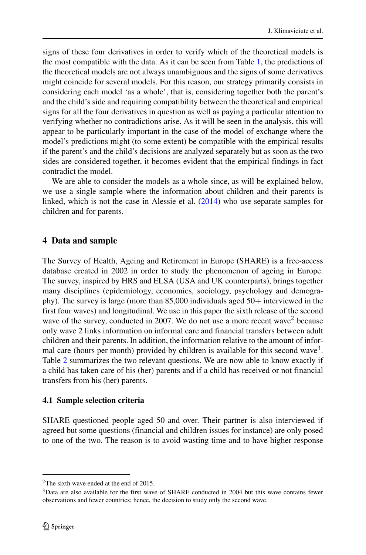signs of these four derivatives in order to verify which of the theoretical models is the most compatible with the data. As it can be seen from Table [1,](#page-10-0) the predictions of the theoretical models are not always unambiguous and the signs of some derivatives might coincide for several models. For this reason, our strategy primarily consists in considering each model 'as a whole', that is, considering together both the parent's and the child's side and requiring compatibility between the theoretical and empirical signs for all the four derivatives in question as well as paying a particular attention to verifying whether no contradictions arise. As it will be seen in the analysis, this will appear to be particularly important in the case of the model of exchange where the model's predictions might (to some extent) be compatible with the empirical results if the parent's and the child's decisions are analyzed separately but as soon as the two sides are considered together, it becomes evident that the empirical findings in fact contradict the model.

We are able to consider the models as a whole since, as will be explained below, we use a single sample where the information about children and their parents is linked, which is not the case in Alessie et al. [\(2014\)](#page-37-0) who use separate samples for children and for parents.

# <span id="page-11-0"></span>**4 Data and sample**

The Survey of Health, Ageing and Retirement in Europe (SHARE) is a free-access database created in 2002 in order to study the phenomenon of ageing in Europe. The survey, inspired by HRS and ELSA (USA and UK counterparts), brings together many disciplines (epidemiology, economics, sociology, psychology and demography). The survey is large (more than 85,000 individuals aged 50+ interviewed in the first four waves) and longitudinal. We use in this paper the sixth release of the second wave of the survey, conducted in 2007. We do not use a more recent wave<sup>2</sup> because only wave 2 links information on informal care and financial transfers between adult children and their parents. In addition, the information relative to the amount of informal care (hours per month) provided by children is available for this second wave<sup>3</sup>. Table [2](#page-12-0) summarizes the two relevant questions. We are now able to know exactly if a child has taken care of his (her) parents and if a child has received or not financial transfers from his (her) parents.

### **4.1 Sample selection criteria**

SHARE questioned people aged 50 and over. Their partner is also interviewed if agreed but some questions (financial and children issues for instance) are only posed to one of the two. The reason is to avoid wasting time and to have higher response

<sup>2</sup>The sixth wave ended at the end of 2015.

<span id="page-11-2"></span><span id="page-11-1"></span><sup>3</sup>Data are also available for the first wave of SHARE conducted in 2004 but this wave contains fewer observations and fewer countries; hence, the decision to study only the second wave.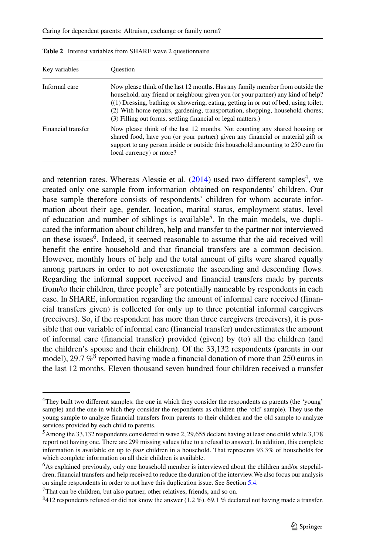| Key variables      | <b>Ouestion</b>                                                                                                                                                                                                                                                                                                                                                                                               |
|--------------------|---------------------------------------------------------------------------------------------------------------------------------------------------------------------------------------------------------------------------------------------------------------------------------------------------------------------------------------------------------------------------------------------------------------|
| Informal care      | Now please think of the last 12 months. Has any family member from outside the<br>household, any friend or neighbour given you (or your partner) any kind of help?<br>$((1)$ Dressing, bathing or showering, eating, getting in or out of bed, using toilet;<br>(2) With home repairs, gardening, transportation, shopping, household chores;<br>(3) Filling out forms, settling financial or legal matters.) |
| Financial transfer | Now please think of the last 12 months. Not counting any shared housing or<br>shared food, have you (or your partner) given any financial or material gift or<br>support to any person inside or outside this household amounting to 250 euro (in<br>local currency) or more?                                                                                                                                 |

<span id="page-12-0"></span>**Table 2** Interest variables from SHARE wave 2 questionnaire

and retention rates. Whereas Alessie et al.  $(2014)$  used two different samples<sup>4</sup>, we created only one sample from information obtained on respondents' children. Our base sample therefore consists of respondents' children for whom accurate information about their age, gender, location, marital status, employment status, level of education and number of siblings is available<sup>5</sup>. In the main models, we duplicated the information about children, help and transfer to the partner not interviewed on these issues<sup>6</sup>. Indeed, it seemed reasonable to assume that the aid received will benefit the entire household and that financial transfers are a common decision. However, monthly hours of help and the total amount of gifts were shared equally among partners in order to not overestimate the ascending and descending flows. Regarding the informal support received and financial transfers made by parents from/to their children, three people<sup>7</sup> are potentially nameable by respondents in each case. In SHARE, information regarding the amount of informal care received (financial transfers given) is collected for only up to three potential informal caregivers (receivers). So, if the respondent has more than three caregivers (receivers), it is possible that our variable of informal care (financial transfer) underestimates the amount of informal care (financial transfer) provided (given) by (to) all the children (and the children's spouse and their children). Of the 33,132 respondents (parents in our model), 29.7  $\%$ <sup>[8](#page-12-5)</sup> reported having made a financial donation of more than 250 euros in the last 12 months. Eleven thousand seven hundred four children received a transfer

<span id="page-12-1"></span><sup>4</sup>They built two different samples: the one in which they consider the respondents as parents (the 'young' sample) and the one in which they consider the respondents as children (the 'old' sample). They use the young sample to analyze financial transfers from parents to their children and the old sample to analyze services provided by each child to parents.

<span id="page-12-2"></span><sup>5</sup>Among the 33,132 respondents considered in wave 2, 29,655 declare having at least one child while 3,178 report not having one. There are 299 missing values (due to a refusal to answer). In addition, this complete information is available on up to *four* children in a household. That represents 93.3% of households for which complete information on all their children is available.

<span id="page-12-3"></span><sup>6</sup>As explained previously, only one household member is interviewed about the children and/or stepchildren, financial transfers and help received to reduce the duration of the interview.We also focus our analysis on single respondents in order to not have this duplication issue. See Section [5.4.](#page-26-0)

<sup>7</sup>That can be children, but also partner, other relatives, friends, and so on.

<span id="page-12-5"></span><span id="page-12-4"></span> $8412$  respondents refused or did not know the answer (1.2 %). 69.1 % declared not having made a transfer.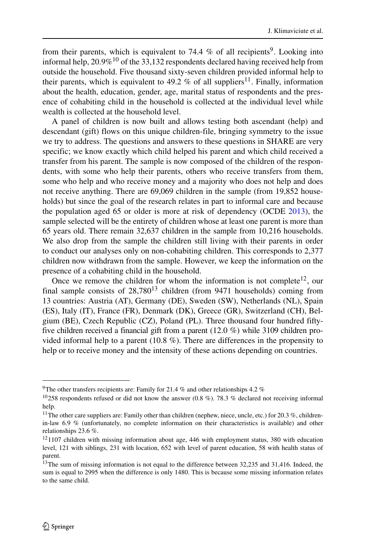from their parents, which is equivalent to 74.4 % of all recipients<sup>9</sup>. Looking into informal help,  $20.9\%$ <sup>[10](#page-13-1)</sup> of the 33,132 respondents declared having received help from outside the household. Five thousand sixty-seven children provided informal help to their parents, which is equivalent to 49.2 % of all suppliers<sup>11</sup>. Finally, information about the health, education, gender, age, marital status of respondents and the presence of cohabiting child in the household is collected at the individual level while wealth is collected at the household level.

A panel of children is now built and allows testing both ascendant (help) and descendant (gift) flows on this unique children-file, bringing symmetry to the issue we try to address. The questions and answers to these questions in SHARE are very specific; we know exactly which child helped his parent and which child received a transfer from his parent. The sample is now composed of the children of the respondents, with some who help their parents, others who receive transfers from them, some who help and who receive money and a majority who does not help and does not receive anything. There are 69,069 children in the sample (from 19,852 households) but since the goal of the research relates in part to informal care and because the population aged 65 or older is more at risk of dependency (OCDE [2013\)](#page-38-13), the sample selected will be the entirety of children whose at least one parent is more than 65 years old. There remain 32,637 children in the sample from 10,216 households. We also drop from the sample the children still living with their parents in order to conduct our analyses only on non-cohabiting children. This corresponds to 2,377 children now withdrawn from the sample. However, we keep the information on the presence of a cohabiting child in the household.

Once we remove the children for whom the information is not complete<sup>12</sup>, our final sample consists of  $28,780^{13}$  children (from 9471 households) coming from 13 countries: Austria (AT), Germany (DE), Sweden (SW), Netherlands (NL), Spain (ES), Italy (IT), France (FR), Denmark (DK), Greece (GR), Switzerland (CH), Belgium (BE), Czech Republic (CZ), Poland (PL). Three thousand four hundred fiftyfive children received a financial gift from a parent (12.0 %) while 3109 children provided informal help to a parent (10.8 %). There are differences in the propensity to help or to receive money and the intensity of these actions depending on countries.

<sup>&</sup>lt;sup>9</sup>The other transfers recipients are: Family for 21.4 % and other relationships 4.2 %

<span id="page-13-1"></span><span id="page-13-0"></span> $10258$  respondents refused or did not know the answer (0.8 %). 78.3 % declared not receiving informal help.

<span id="page-13-2"></span><sup>&</sup>lt;sup>11</sup>The other care suppliers are: Family other than children (nephew, niece, uncle, etc.) for 20.3 %, childrenin-law 6.9 % (unfortunately, no complete information on their characteristics is available) and other relationships 23.6 %.

<span id="page-13-3"></span><sup>&</sup>lt;sup>12</sup>1107 children with missing information about age, 446 with employment status, 380 with education level, 121 with siblings, 231 with location, 652 with level of parent education, 58 with health status of parent.

<span id="page-13-4"></span><sup>&</sup>lt;sup>13</sup>The sum of missing information is not equal to the difference between 32,235 and 31,416. Indeed, the sum is equal to 2995 when the difference is only 1480. This is because some missing information relates to the same child.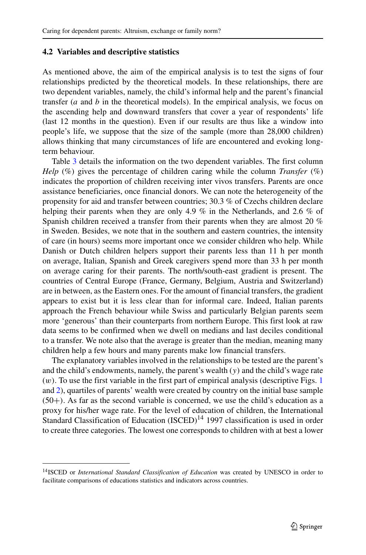### **4.2 Variables and descriptive statistics**

As mentioned above, the aim of the empirical analysis is to test the signs of four relationships predicted by the theoretical models. In these relationships, there are two dependent variables, namely, the child's informal help and the parent's financial transfer (*a* and *b* in the theoretical models). In the empirical analysis, we focus on the ascending help and downward transfers that cover a year of respondents' life (last 12 months in the question). Even if our results are thus like a window into people's life, we suppose that the size of the sample (more than 28,000 children) allows thinking that many circumstances of life are encountered and evoking longterm behaviour.

Table [3](#page-15-0) details the information on the two dependent variables. The first column *Help* (%) gives the percentage of children caring while the column *Transfer* (%) indicates the proportion of children receiving inter vivos transfers. Parents are once assistance beneficiaries, once financial donors. We can note the heterogeneity of the propensity for aid and transfer between countries; 30.3 % of Czechs children declare helping their parents when they are only 4.9 % in the Netherlands, and 2.6 % of Spanish children received a transfer from their parents when they are almost 20 % in Sweden. Besides, we note that in the southern and eastern countries, the intensity of care (in hours) seems more important once we consider children who help. While Danish or Dutch children helpers support their parents less than 11 h per month on average, Italian, Spanish and Greek caregivers spend more than 33 h per month on average caring for their parents. The north/south-east gradient is present. The countries of Central Europe (France, Germany, Belgium, Austria and Switzerland) are in between, as the Eastern ones. For the amount of financial transfers, the gradient appears to exist but it is less clear than for informal care. Indeed, Italian parents approach the French behaviour while Swiss and particularly Belgian parents seem more 'generous' than their counterparts from northern Europe. This first look at raw data seems to be confirmed when we dwell on medians and last deciles conditional to a transfer. We note also that the average is greater than the median, meaning many children help a few hours and many parents make low financial transfers.

The explanatory variables involved in the relationships to be tested are the parent's and the child's endowments, namely, the parent's wealth (*y)* and the child's wage rate (*w)*. To use the first variable in the first part of empirical analysis (descriptive Figs. [1](#page-16-0) and [2\)](#page-16-1), quartiles of parents' wealth were created by country on the initial base sample (50+*)*. As far as the second variable is concerned, we use the child's education as a proxy for his/her wage rate. For the level of education of children, the International Standard Classification of Education  $(ISCED)^{14}$  $(ISCED)^{14}$  $(ISCED)^{14}$  1997 classification is used in order to create three categories. The lowest one corresponds to children with at best a lower

<span id="page-14-0"></span><sup>&</sup>lt;sup>14</sup>ISCED or *International Standard Classification of Education* was created by UNESCO in order to facilitate comparisons of educations statistics and indicators across countries.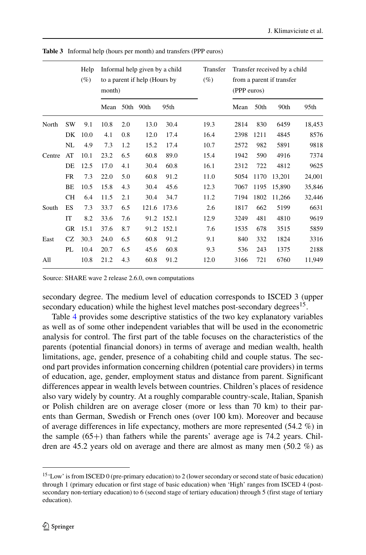|        |           | Help<br>$(\%)$ | month) |      | Informal help given by a child<br>to a parent if help (Hours by |       | Transfer<br>$(\%)$ | (PPP euros) |      | Transfer received by a child<br>from a parent if transfer |        |
|--------|-----------|----------------|--------|------|-----------------------------------------------------------------|-------|--------------------|-------------|------|-----------------------------------------------------------|--------|
|        |           |                | Mean   | 50th | 90th                                                            | 95th  |                    | Mean        | 50th | 90th                                                      | 95th   |
| North  | SW        | 9.1            | 10.8   | 2.0  | 13.0                                                            | 30.4  | 19.3               | 2814        | 830  | 6459                                                      | 18,453 |
|        | DK        | 10.0           | 4.1    | 0.8  | 12.0                                                            | 17.4  | 16.4               | 2398        | 1211 | 4845                                                      | 8576   |
|        | NL        | 4.9            | 7.3    | 1.2  | 15.2                                                            | 17.4  | 10.7               | 2572        | 982  | 5891                                                      | 9818   |
| Centre | AT        | 10.1           | 23.2   | 6.5  | 60.8                                                            | 89.0  | 15.4               | 1942        | 590  | 4916                                                      | 7374   |
|        | DE        | 12.5           | 17.0   | 4.1  | 30.4                                                            | 60.8  | 16.1               | 2312        | 722  | 4812                                                      | 9625   |
|        | FR        | 7.3            | 22.0   | 5.0  | 60.8                                                            | 91.2  | 11.0               | 5054        | 1170 | 13,201                                                    | 24,001 |
|        | BE        | 10.5           | 15.8   | 4.3  | 30.4                                                            | 45.6  | 12.3               | 7067        | 1195 | 15,890                                                    | 35,846 |
|        | <b>CH</b> | 6.4            | 11.5   | 2.1  | 30.4                                                            | 34.7  | 11.2               | 7194        | 1802 | 11,266                                                    | 32,446 |
| South  | ES        | 7.3            | 33.7   | 6.5  | 121.6                                                           | 173.6 | 2.6                | 1817        | 662  | 5199                                                      | 6631   |
|        | <b>IT</b> | 8.2            | 33.6   | 7.6  | 91.2                                                            | 152.1 | 12.9               | 3249        | 481  | 4810                                                      | 9619   |
|        | <b>GR</b> | 15.1           | 37.6   | 8.7  | 91.2                                                            | 152.1 | 7.6                | 1535        | 678  | 3515                                                      | 5859   |
| East   | CZ        | 30.3           | 24.0   | 6.5  | 60.8                                                            | 91.2  | 9.1                | 840         | 332  | 1824                                                      | 3316   |
|        | PL        | 10.4           | 20.7   | 6.5  | 45.6                                                            | 60.8  | 9.3                | 536         | 243  | 1375                                                      | 2188   |
| All    |           | 10.8           | 21.2   | 4.3  | 60.8                                                            | 91.2  | 12.0               | 3166        | 721  | 6760                                                      | 11,949 |

<span id="page-15-0"></span>**Table 3** Informal help (hours per month) and transfers (PPP euros)

Source: SHARE wave 2 release 2.6.0, own computations

secondary degree. The medium level of education corresponds to ISCED 3 (upper secondary education) while the highest level matches post-secondary degrees<sup>15</sup>.

Table [4](#page-18-0) provides some descriptive statistics of the two key explanatory variables as well as of some other independent variables that will be used in the econometric analysis for control. The first part of the table focuses on the characteristics of the parents (potential financial donors) in terms of average and median wealth, health limitations, age, gender, presence of a cohabiting child and couple status. The second part provides information concerning children (potential care providers) in terms of education, age, gender, employment status and distance from parent. Significant differences appear in wealth levels between countries. Children's places of residence also vary widely by country. At a roughly comparable country-scale, Italian, Spanish or Polish children are on average closer (more or less than 70 km) to their parents than German, Swedish or French ones (over 100 km). Moreover and because of average differences in life expectancy, mothers are more represented (54.2 %) in the sample (65+*)* than fathers while the parents' average age is 74.2 years. Children are 45.2 years old on average and there are almost as many men (50.2 %) as

<span id="page-15-1"></span><sup>15&#</sup>x27;Low' is from ISCED 0 (pre-primary education) to 2 (lower secondary or second state of basic education) through 1 (primary education or first stage of basic education) when 'High' ranges from ISCED 4 (postsecondary non-tertiary education) to 6 (second stage of tertiary education) through 5 (first stage of tertiary education).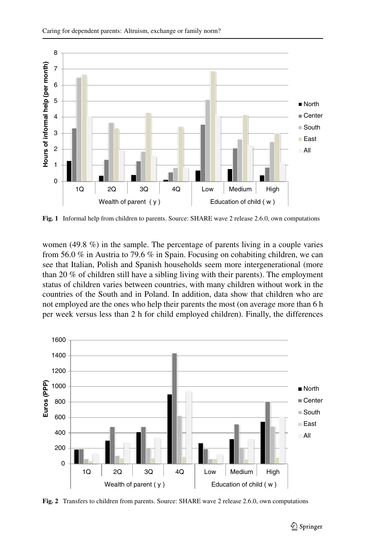<span id="page-16-0"></span>

**Fig. 1** Informal help from children to parents. Source: SHARE wave 2 release 2.6.0, own computations

women (49.8 %) in the sample. The percentage of parents living in a couple varies from 56.0 % in Austria to 79.6 % in Spain. Focusing on cohabiting children, we can see that Italian, Polish and Spanish households seem more intergenerational (more than 20 % of children still have a sibling living with their parents). The employment status of children varies between countries, with many children without work in the countries of the South and in Poland. In addition, data show that children who are not employed are the ones who help their parents the most (on average more than 6 h per week versus less than 2 h for child employed children). Finally, the differences

<span id="page-16-1"></span>

Fig. 2 Transfers to children from parents. Source: SHARE wave 2 release 2.6.0, own computations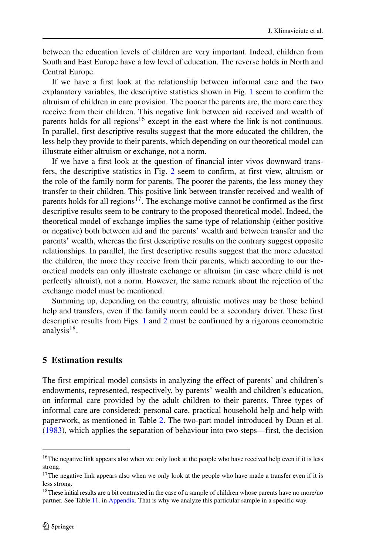between the education levels of children are very important. Indeed, children from South and East Europe have a low level of education. The reverse holds in North and Central Europe.

If we have a first look at the relationship between informal care and the two explanatory variables, the descriptive statistics shown in Fig. [1](#page-16-0) seem to confirm the altruism of children in care provision. The poorer the parents are, the more care they receive from their children. This negative link between aid received and wealth of parents holds for all regions<sup>16</sup> except in the east where the link is not continuous. In parallel, first descriptive results suggest that the more educated the children, the less help they provide to their parents, which depending on our theoretical model can illustrate either altruism or exchange, not a norm.

If we have a first look at the question of financial inter vivos downward transfers, the descriptive statistics in Fig. [2](#page-16-1) seem to confirm, at first view, altruism or the role of the family norm for parents. The poorer the parents, the less money they transfer to their children. This positive link between transfer received and wealth of parents holds for all regions<sup>17</sup>. The exchange motive cannot be confirmed as the first descriptive results seem to be contrary to the proposed theoretical model. Indeed, the theoretical model of exchange implies the same type of relationship (either positive or negative) both between aid and the parents' wealth and between transfer and the parents' wealth, whereas the first descriptive results on the contrary suggest opposite relationships. In parallel, the first descriptive results suggest that the more educated the children, the more they receive from their parents, which according to our theoretical models can only illustrate exchange or altruism (in case where child is not perfectly altruist), not a norm. However, the same remark about the rejection of the exchange model must be mentioned.

Summing up, depending on the country, altruistic motives may be those behind help and transfers, even if the family norm could be a secondary driver. These first descriptive results from Figs. [1](#page-16-0) and [2](#page-16-1) must be confirmed by a rigorous econometric analysis $18$ .

# <span id="page-17-0"></span>**5 Estimation results**

The first empirical model consists in analyzing the effect of parents' and children's endowments, represented, respectively, by parents' wealth and children's education, on informal care provided by the adult children to their parents. Three types of informal care are considered: personal care, practical household help and help with paperwork, as mentioned in Table [2.](#page-12-0) The two-part model introduced by Duan et al. [\(1983\)](#page-38-14), which applies the separation of behaviour into two steps—first, the decision

<span id="page-17-1"></span><sup>&</sup>lt;sup>16</sup>The negative link appears also when we only look at the people who have received help even if it is less strong.

<span id="page-17-2"></span><sup>&</sup>lt;sup>17</sup>The negative link appears also when we only look at the people who have made a transfer even if it is less strong.

<span id="page-17-3"></span><sup>&</sup>lt;sup>18</sup>These initial results are a bit contrasted in the case of a sample of children whose parents have no more/no partner. See Table [11.](#page-31-0) in [Appendix.](#page-31-1) That is why we analyze this particular sample in a specific way.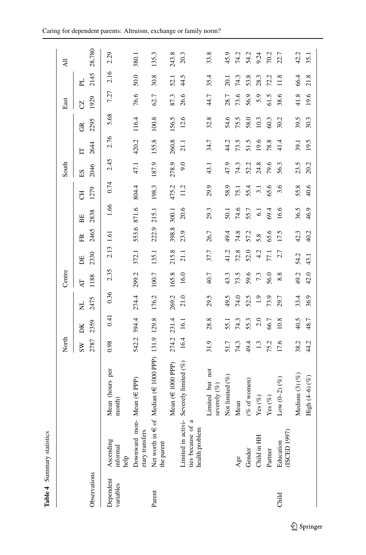<span id="page-18-0"></span>

| i<br>1 |
|--------|
| 1      |
| V      |
|        |
|        |

|                        | Table 4 Summary statistics                                |                                    |                       |       |       |        |       |              |                 |       |       |       |                            |      |      |        |
|------------------------|-----------------------------------------------------------|------------------------------------|-----------------------|-------|-------|--------|-------|--------------|-----------------|-------|-------|-------|----------------------------|------|------|--------|
|                        |                                                           |                                    | North                 |       |       | Centre |       |              |                 |       | South |       |                            | East |      | E      |
|                        |                                                           |                                    | $\mathbb{R}^{\infty}$ | DK    | Ę     | R      | DЕ    | $\mathbb{E}$ | BE              | FO    | ES    | ᄇ     | $\widetilde{\mathfrak{B}}$ | S    | 리    |        |
| Observations           |                                                           |                                    | 2787                  | 2359  | 2475  | 1188   | 2330  | 2465         | 2838            | 1279  | 2046  | 2644  | 2295                       | 1929 | 2145 | 28,780 |
| Dependent<br>variables | Ascending<br>informal<br>help                             | Mean (hours per<br>month)          | 0.98                  | 0.41  | 0.36  | 2.35   | 2.13  | 1.61         | 1.66            | 0.74  | 2.45  | 2.76  | 5.68                       | 7.27 | 2.16 | 2.29   |
|                        | Downward mon-<br>etary transfers                          | Mean $(\in$ PPP)                   | 542.2                 | 394.4 | 274.4 | 299.2  | 372.1 | 553.6        | 871.6           | 804.4 | 47.1  | 420.2 | 116.4                      | 76.6 | 50.0 | 380.1  |
| Parent                 | Net worth in $\in$ of<br>the parent                       | Median (€ 1000 PPP) 131.9          |                       | 129.8 | 176.2 | 100.7  | 135.1 | 222.9        | 215.1           | 198.3 | 187.9 | 155.8 | 100.8                      | 62.7 | 30.8 | 135.3  |
|                        |                                                           | Mean $(\in$ 1000 PPP)              | 274.2                 | 231.4 | 269.2 | 165.8  | 215.8 | 398.8        | 300.1           | 475.2 | 278.9 | 260.8 | 156.5                      | 87.3 | 52.1 | 243.8  |
|                        | Limited in activi-<br>ties because of a<br>health problem | Severely limited (%)               | 16.4                  | 16.1  | 21.0  | 16.0   | 21.1  | 23.9         | 20.6            | 11.2  | 9.0   | 21.1  | 12.6                       | 26.6 | 44.5 | 20.3   |
|                        |                                                           | Limited but not<br>severely $(\%)$ | 31.9                  | 28.8  | 29.5  | 40.7   | 37.7  | 26.7         | 29.3            | 29.9  | 43.1  | 34.7  | 32.8                       | 4.7  | 35.4 | 33.8   |
|                        |                                                           | Not limited (%)                    | 51.7                  | 55.1  | 49.5  | 43.3   | 41.2  | 49.4         | 50.1            | 58.9  | 47.9  | 44.2  | 54.6                       | 28.7 | 20.1 | 45.9   |
|                        | Age                                                       | Mean                               | 74.3                  | 74.3  | 74.0  | 73.5   | 72.8  | 74.8         | 74.6            | 75.1  | 74.3  | 73.5  | 75.5                       | 73.6 | 74.3 | 74.2   |
|                        | Gender                                                    | (% of women)                       | 49.4                  | 55.3  | 52.5  | 59.6   | 52.0  | 57.2         | 55.7            | 55.4  | 52.2  | 51.5  | 58.0                       | 56.9 | 53.8 | 54.2   |
|                        | Child in HH                                               | Yes $(\%)$                         | $1.3\,$               | 2.0   | 1.9   | 7.3    | 4.2   | 5.8          | $\overline{61}$ | $\Xi$ | 24.8  | 19.6  | 10.3                       | 5.9  | 28.3 | 9.24   |
|                        | Partner                                                   | Yes $(\%)$                         | 75.2                  | 66.7  | 73.9  | 56.0   | 77.1  | 65.6         | 69.4            | 65.6  | 79.6  | 78.8  | 60.3                       | 61.5 | 72.2 | 70.2   |
| Child                  | (ISCED 1997)<br>Education                                 | Low $(0-2)$ $(%)$                  | 17.6                  | 10.8  | 29.7  | 8.8    | 2.7   | 17.5         | 16.6            | 3.6   | 56.3  | 41.4  | 30.2                       | 38.6 | 11.8 | 22.7   |
|                        |                                                           | Medium $(3)(%)$                    | 38.2                  | 40.5  | 33.4  | 49.2   | 54.2  | 42.3         | 36.5            | 55.8  | 23.5  | 39.1  | 39.5                       | 41.8 | 66.4 | 42.2   |
|                        |                                                           | $High (4-6) (%)$                   | 44.2                  | 48.7  | 36.9  | 42.0   | 43.1  | 40.2         | 46.9            | 40.6  | 20.2  | 19.5  | 30.3                       | 19.6 | 21.8 | 35.1   |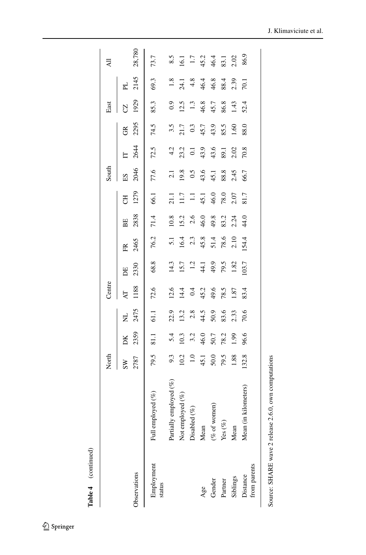|                      |                              | North          |                          |              | Centre         |                |       |      |        | South |                  |                          | East |      | $\overline{A}$                       |
|----------------------|------------------------------|----------------|--------------------------|--------------|----------------|----------------|-------|------|--------|-------|------------------|--------------------------|------|------|--------------------------------------|
|                      |                              | S <sub>N</sub> | DK                       | $\Xi$        | $\overline{R}$ | DΕ             | Æ     | BE   | H      | ЕS    |                  | $\widetilde{\mathbb{G}}$ | S,   | E,   |                                      |
| <b>Observations</b>  |                              | 2787           | 2359                     | 2475         | 1188           | 2330           | 2465  | 2838 | 1279   | 2046  | 2644             | 2295                     | 1929 | 2145 | 28,780                               |
| Employment<br>status | Full employed (%)            | 79.5           | $\overline{\phantom{0}}$ | 61.1         | 72.6           | 68.8           | 76.2  | 71.4 | 66.1   | 77.6  | 72.5             | 74.5                     | 85.3 | 69.3 | 73.7                                 |
|                      | Partially employed (%)       | 9.3            | 5.4                      | 22.9         | 12.6           | 14.3           | 5.1   | 10.8 | 21.1   | 2.1   | 4.2              | 3.5                      | 0.9  |      | 8.5                                  |
|                      | Not employed (%)             | 10.2           | 10.3                     | 13.2         | 14.4           | 15.7           | 16.4  | 15.2 | 11.7   | 19.8  | 23.2             | 21.7                     | 12.5 | 24.1 | 16.1                                 |
|                      | Disabled $(\%)$              | 1.0            | 3.2                      | 2.8          | 0.4            | 1.2            | 2.3   | 2.6  | $\Box$ | 0.5   | $\overline{0}$ . | 0.3                      | 1.3  | 4.8  | 1.7                                  |
| Age                  | Mean                         | 45.1           | 46.0                     | 44.5         | 45.2           |                | 45.8  | 46.0 | 45.1   | 43.6  | 43.9             | 45.7                     | 46.8 | 46.4 | $45.2$<br>$46.4$<br>$83.1$<br>$2.02$ |
| Gender               | v <sub>omen</sub><br>(% of w |                | 50.7                     | 50.9<br>83.6 | 49.6           | $44.1$<br>49.9 | 51.4  | 49.8 | 46.0   | 45.1  | 43.6             | 43.9                     | 45.7 | 46.8 |                                      |
| Partner              | Yes $(\%)$                   | 50.0<br>79.5   | 78.2                     |              | 78.5           |                | 78.6  | 83.2 | 78.0   | 88.8  | 89.1             | 85.5                     | 86.8 | 88.4 |                                      |
| Siblings             | Mean                         | 1.88           | 1.99                     | 2.33         | 1.87           | 1.82           | 2.10  | 2.24 | 2.07   | 2.45  | 2.02             | 1.60                     | 1.43 | 2.39 |                                      |
| Distance             | in kilometers)<br>Mean (     | 132.8          | 96.6                     | 70.6         | 83.4           | 103.7          | 154.4 | 44.0 | 81.7   | 66.7  | 70.8             | 88.0                     | 52.4 | 70.1 | 86.9                                 |
| from parents         |                              |                |                          |              |                |                |       |      |        |       |                  |                          |      |      |                                      |
|                      |                              |                |                          |              |                |                |       |      |        |       |                  |                          |      |      |                                      |

Source: SHARE wave 2 release 2.6.0, own computations Source: SHARE wave 2 release 2.6.0, own computations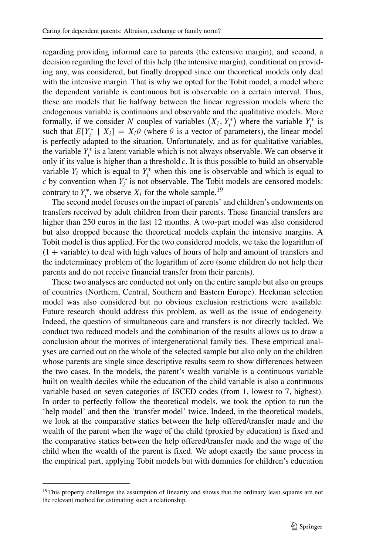regarding providing informal care to parents (the extensive margin), and second, a decision regarding the level of this help (the intensive margin), conditional on providing any, was considered, but finally dropped since our theoretical models only deal with the intensive margin. That is why we opted for the Tobit model, a model where the dependent variable is continuous but is observable on a certain interval. Thus, these are models that lie halfway between the linear regression models where the endogenous variable is continuous and observable and the qualitative models. More formally, if we consider *N* couples of variables  $(X_i, Y_i^*)$  where the variable  $Y_i^*$  is such that  $E[Y_i^* | X_i] = X_i \theta$  (where  $\theta$  is a vector of parameters), the linear model is perfectly adapted to the situation. Unfortunately, and as for qualitative variables, the variable  $Y_i^*$  is a latent variable which is not always observable. We can observe it only if its value is higher than a threshold *c*. It is thus possible to build an observable variable  $Y_i$  which is equal to  $Y_i^*$  when this one is observable and which is equal to *c* by convention when  $Y_i^*$  is not observable. The Tobit models are censored models: contrary to  $Y_i^*$ , we observe  $X_i$  for the whole sample.<sup>19</sup>

The second model focuses on the impact of parents' and children's endowments on transfers received by adult children from their parents. These financial transfers are higher than 250 euros in the last 12 months. A two-part model was also considered but also dropped because the theoretical models explain the intensive margins. A Tobit model is thus applied. For the two considered models, we take the logarithm of *(*1 + variable*)* to deal with high values of hours of help and amount of transfers and the indeterminacy problem of the logarithm of zero (some children do not help their parents and do not receive financial transfer from their parents).

These two analyses are conducted not only on the entire sample but also on groups of countries (Northern, Central, Southern and Eastern Europe). Heckman selection model was also considered but no obvious exclusion restrictions were available. Future research should address this problem, as well as the issue of endogeneity. Indeed, the question of simultaneous care and transfers is not directly tackled. We conduct two reduced models and the combination of the results allows us to draw a conclusion about the motives of intergenerational family ties. These empirical analyses are carried out on the whole of the selected sample but also only on the children whose parents are single since descriptive results seem to show differences between the two cases. In the models, the parent's wealth variable is a continuous variable built on wealth deciles while the education of the child variable is also a continuous variable based on seven categories of ISCED codes (from 1, lowest to 7, highest). In order to perfectly follow the theoretical models, we took the option to run the 'help model' and then the 'transfer model' twice. Indeed, in the theoretical models, we look at the comparative statics between the help offered/transfer made and the wealth of the parent when the wage of the child (proxied by education) is fixed and the comparative statics between the help offered/transfer made and the wage of the child when the wealth of the parent is fixed. We adopt exactly the same process in the empirical part, applying Tobit models but with dummies for children's education

<span id="page-20-0"></span><sup>&</sup>lt;sup>19</sup>This property challenges the assumption of linearity and shows that the ordinary least squares are not the relevant method for estimating such a relationship.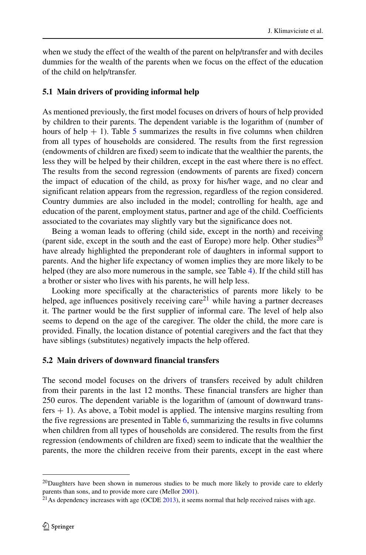when we study the effect of the wealth of the parent on help/transfer and with deciles dummies for the wealth of the parents when we focus on the effect of the education of the child on help/transfer.

### **5.1 Main drivers of providing informal help**

As mentioned previously, the first model focuses on drivers of hours of help provided by children to their parents. The dependent variable is the logarithm of (number of hours of help  $+ 1$ ). Table [5](#page-22-0) summarizes the results in five columns when children from all types of households are considered. The results from the first regression (endowments of children are fixed) seem to indicate that the wealthier the parents, the less they will be helped by their children, except in the east where there is no effect. The results from the second regression (endowments of parents are fixed) concern the impact of education of the child, as proxy for his/her wage, and no clear and significant relation appears from the regression, regardless of the region considered. Country dummies are also included in the model; controlling for health, age and education of the parent, employment status, partner and age of the child. Coefficients associated to the covariates may slightly vary but the significance does not.

Being a woman leads to offering (child side, except in the north) and receiving (parent side, except in the south and the east of Europe) more help. Other studies<sup>20</sup> have already highlighted the preponderant role of daughters in informal support to parents. And the higher life expectancy of women implies they are more likely to be helped (they are also more numerous in the sample, see Table [4\)](#page-18-0). If the child still has a brother or sister who lives with his parents, he will help less.

Looking more specifically at the characteristics of parents more likely to be helped, age influences positively receiving care<sup>21</sup> while having a partner decreases it. The partner would be the first supplier of informal care. The level of help also seems to depend on the age of the caregiver. The older the child, the more care is provided. Finally, the location distance of potential caregivers and the fact that they have siblings (substitutes) negatively impacts the help offered.

### **5.2 Main drivers of downward financial transfers**

The second model focuses on the drivers of transfers received by adult children from their parents in the last 12 months. These financial transfers are higher than 250 euros. The dependent variable is the logarithm of (amount of downward trans $fers + 1$ ). As above, a Tobit model is applied. The intensive margins resulting from the five regressions are presented in Table [6,](#page-23-0) summarizing the results in five columns when children from all types of households are considered. The results from the first regression (endowments of children are fixed) seem to indicate that the wealthier the parents, the more the children receive from their parents, except in the east where

<span id="page-21-0"></span><sup>&</sup>lt;sup>20</sup>Daughters have been shown in numerous studies to be much more likely to provide care to elderly parents than sons, and to provide more care (Mellor [2001\)](#page-38-15).

<span id="page-21-1"></span> $21$ As dependency increases with age (OCDE  $2013$ ), it seems normal that help received raises with age.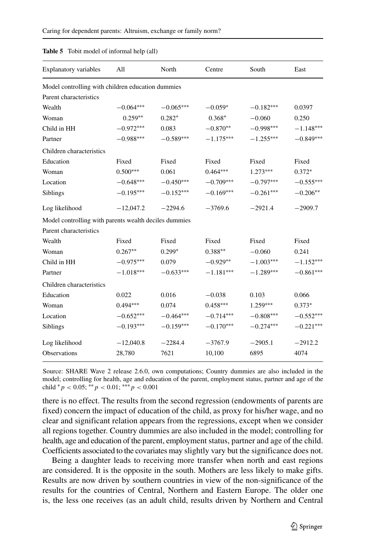| Explanatory variables                             | All                                                   | North       | Centre      | South       | East        |  |  |  |  |  |
|---------------------------------------------------|-------------------------------------------------------|-------------|-------------|-------------|-------------|--|--|--|--|--|
| Model controlling with children education dummies |                                                       |             |             |             |             |  |  |  |  |  |
| Parent characteristics                            |                                                       |             |             |             |             |  |  |  |  |  |
| Wealth                                            | $-0.064***$                                           | $-0.065***$ | $-0.059*$   | $-0.182***$ | 0.0397      |  |  |  |  |  |
| Woman                                             | $0.259**$                                             | $0.282*$    | $0.368*$    | $-0.060$    | 0.250       |  |  |  |  |  |
| Child in HH                                       | $-0.972***$                                           | 0.083       | $-0.870**$  | $-0.998***$ | $-1.148***$ |  |  |  |  |  |
| Partner                                           | $-0.988***$                                           | $-0.589***$ | $-1.175***$ | $-1.255***$ | $-0.849***$ |  |  |  |  |  |
| Children characteristics                          |                                                       |             |             |             |             |  |  |  |  |  |
| Education                                         | Fixed                                                 | Fixed       | Fixed       | Fixed       | Fixed       |  |  |  |  |  |
| Woman                                             | $0.500***$                                            | 0.061       | $0.464***$  | $1.273***$  | $0.372*$    |  |  |  |  |  |
| Location                                          | $-0.648***$                                           | $-0.450***$ | $-0.709***$ | $-0.797***$ | $-0.555***$ |  |  |  |  |  |
| Siblings                                          | $-0.195***$                                           | $-0.152***$ | $-0.169***$ | $-0.261***$ | $-0.206**$  |  |  |  |  |  |
| Log likelihood                                    | $-12,047.2$                                           | $-2294.6$   | $-3769.6$   | $-2921.4$   | $-2909.7$   |  |  |  |  |  |
|                                                   | Model controlling with parents wealth deciles dummies |             |             |             |             |  |  |  |  |  |
| Parent characteristics                            |                                                       |             |             |             |             |  |  |  |  |  |
| Wealth                                            | Fixed                                                 | Fixed       | Fixed       | Fixed       | Fixed       |  |  |  |  |  |
| Woman                                             | $0.267**$                                             | $0.299*$    | 0.388**     | $-0.060$    | 0.241       |  |  |  |  |  |
| Child in HH                                       | $-0.975***$                                           | 0.079       | $-0.929**$  | $-1.003***$ | $-1.152***$ |  |  |  |  |  |
| Partner                                           | $-1.018***$                                           | $-0.633***$ | $-1.181***$ | $-1.289***$ | $-0.861***$ |  |  |  |  |  |
| Children characteristics                          |                                                       |             |             |             |             |  |  |  |  |  |
| Education                                         | 0.022                                                 | 0.016       | $-0.038$    | 0.103       | 0.066       |  |  |  |  |  |
| Woman                                             | $0.494***$                                            | 0.074       | $0.458***$  | $1.259***$  | $0.373*$    |  |  |  |  |  |
| Location                                          | $-0.652***$                                           | $-0.464***$ | $-0.714***$ | $-0.808***$ | $-0.552***$ |  |  |  |  |  |
| Siblings                                          | $-0.193***$                                           | $-0.159***$ | $-0.170***$ | $-0.274***$ | $-0.221***$ |  |  |  |  |  |
| Log likelihood                                    | $-12,040.8$                                           | $-2284.4$   | $-3767.9$   | $-2905.1$   | $-2912.2$   |  |  |  |  |  |
| Observations                                      | 28,780                                                | 7621        | 10,100      | 6895        | 4074        |  |  |  |  |  |

#### <span id="page-22-0"></span>**Table 5** Tobit model of informal help (all)

Source: SHARE Wave 2 release 2.6.0, own computations; Country dummies are also included in the model; controlling for health, age and education of the parent, employment status, partner and age of the child <sup>∗</sup>*p <* 0.05; ∗∗*p <* 0.01; ∗∗∗*p <* 0.001

there is no effect. The results from the second regression (endowments of parents are fixed) concern the impact of education of the child, as proxy for his/her wage, and no clear and significant relation appears from the regressions, except when we consider all regions together. Country dummies are also included in the model; controlling for health, age and education of the parent, employment status, partner and age of the child. Coefficients associated to the covariates may slightly vary but the significance does not.

Being a daughter leads to receiving more transfer when north and east regions are considered. It is the opposite in the south. Mothers are less likely to make gifts. Results are now driven by southern countries in view of the non-significance of the results for the countries of Central, Northern and Eastern Europe. The older one is, the less one receives (as an adult child, results driven by Northern and Central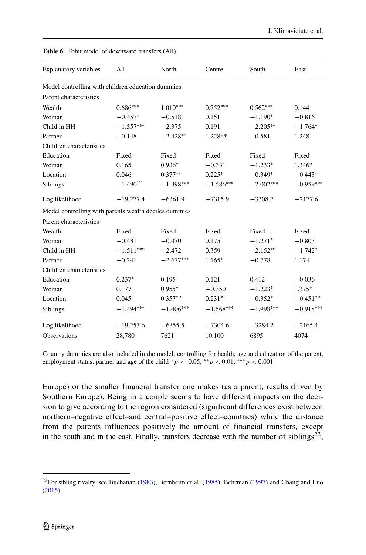| <b>Explanatory variables</b>                          | All          | North       | Centre      | South       | East        |  |  |  |
|-------------------------------------------------------|--------------|-------------|-------------|-------------|-------------|--|--|--|
| Model controlling with children education dummies     |              |             |             |             |             |  |  |  |
| Parent characteristics                                |              |             |             |             |             |  |  |  |
| Wealth                                                | $0.686***$   | $1.010***$  | $0.752***$  | $0.562***$  | 0.144       |  |  |  |
| Woman                                                 | $-0.457*$    | $-0.518$    | 0.151       | $-1.190*$   | $-0.816$    |  |  |  |
| Child in HH                                           | $-1.557***$  | $-2.375$    | 0.191       | $-2.205***$ | $-1.764*$   |  |  |  |
| Partner                                               | $-0.148$     | $-2.428**$  | 1.228**     | $-0.581$    | 1.248       |  |  |  |
| Children characteristics                              |              |             |             |             |             |  |  |  |
| Education                                             | Fixed        | Fixed       | Fixed       | Fixed       | Fixed       |  |  |  |
| Woman                                                 | 0.165        | $0.936*$    | $-0.331$    | $-1.233*$   | $1.346*$    |  |  |  |
| Location                                              | 0.046        | $0.377**$   | $0.225*$    | $-0.349*$   | $-0.443*$   |  |  |  |
| Siblings                                              | $-1.490$ *** | $-1.398***$ | $-1.586***$ | $-2.002***$ | $-0.959***$ |  |  |  |
| Log likelihood                                        | $-19,277.4$  | $-6361.9$   | $-7315.9$   | $-3308.7$   | $-2177.6$   |  |  |  |
| Model controlling with parents wealth deciles dummies |              |             |             |             |             |  |  |  |
| Parent characteristics                                |              |             |             |             |             |  |  |  |
| Wealth                                                | Fixed        | Fixed       | Fixed       | Fixed       | Fixed       |  |  |  |
| Woman                                                 | $-0.431$     | $-0.470$    | 0.175       | $-1.271*$   | $-0.805$    |  |  |  |
| Child in HH                                           | $-1.511***$  | $-2.472$    | 0.359       | $-2.152**$  | $-1.742*$   |  |  |  |
| Partner                                               | $-0.241$     | $-2.677***$ | $1.165*$    | $-0.778$    | 1.174       |  |  |  |
| Children characteristics                              |              |             |             |             |             |  |  |  |
| Education                                             | $0.237*$     | 0.195       | 0.121       | 0.412       | $-0.036$    |  |  |  |
| Woman                                                 | 0.177        | $0.955*$    | $-0.350$    | $-1.223*$   | $1.375*$    |  |  |  |
| Location                                              | 0.045        | $0.357**$   | $0.231*$    | $-0.352*$   | $-0.451**$  |  |  |  |
| Siblings                                              | $-1.494***$  | $-1.406***$ | $-1.568***$ | $-1.998***$ | $-0.918***$ |  |  |  |
| Log likelihood                                        | $-19,253.6$  | $-6355.5$   | $-7304.6$   | $-3284.2$   | $-2165.4$   |  |  |  |
| Observations                                          | 28,780       | 7621        | 10,100      | 6895        | 4074        |  |  |  |
|                                                       |              |             |             |             |             |  |  |  |

<span id="page-23-0"></span>**Table 6** Tobit model of downward transfers (All)

Country dummies are also included in the model; controlling for health, age and education of the parent, employment status, partner and age of the child  $p < 0.05$ ; \*\*  $p < 0.01$ ; \*\*\*  $p < 0.001$ 

Europe) or the smaller financial transfer one makes (as a parent, results driven by Southern Europe). Being in a couple seems to have different impacts on the decision to give according to the region considered (significant differences exist between northern–negative effect–and central–positive effect–countries) while the distance from the parents influences positively the amount of financial transfers, except in the south and in the east. Finally, transfers decrease with the number of siblings<sup>22</sup>,

<span id="page-23-1"></span><sup>&</sup>lt;sup>22</sup>For sibling rivalry, see Buchanan [\(1983\)](#page-37-13), Bernheim et al. [\(1985\)](#page-37-9), Behrman [\(1997\)](#page-37-14) and Chang and Luo [\(2015\)](#page-37-15).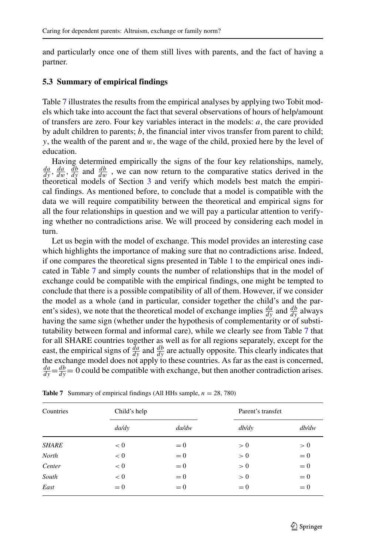and particularly once one of them still lives with parents, and the fact of having a partner.

### **5.3 Summary of empirical findings**

Table [7](#page-24-0) illustrates the results from the empirical analyses by applying two Tobit models which take into account the fact that several observations of hours of help/amount of transfers are zero. Four key variables interact in the models: *a*, the care provided by adult children to parents; *b*, the financial inter vivos transfer from parent to child; *y*, the wealth of the parent and *w*, the wage of the child, proxied here by the level of education.

Having determined empirically the signs of the four key relationships, namely,  $\frac{da}{dy}$ ,  $\frac{da}{dw}$ ,  $\frac{db}{dy}$  and  $\frac{db}{dw}$ , we can now return to the comparative statics derived in the theoretical models of Section [3](#page-4-0) and verify which models best match the empirical findings. As mentioned before, to conclude that a model is compatible with the data we will require compatibility between the theoretical and empirical signs for all the four relationships in question and we will pay a particular attention to verifying whether no contradictions arise. We will proceed by considering each model in turn.

Let us begin with the model of exchange. This model provides an interesting case which highlights the importance of making sure that no contradictions arise. Indeed, if one compares the theoretical signs presented in Table [1](#page-10-0) to the empirical ones indicated in Table [7](#page-24-0) and simply counts the number of relationships that in the model of exchange could be compatible with the empirical findings, one might be tempted to conclude that there is a possible compatibility of all of them. However, if we consider the model as a whole (and in particular, consider together the child's and the parent's sides), we note that the theoretical model of exchange implies  $\frac{da}{dy}$  and  $\frac{db}{dy}$  always having the same sign (whether under the hypothesis of complementarity or of substitutability between formal and informal care), while we clearly see from Table [7](#page-24-0) that for all SHARE countries together as well as for all regions separately, except for the east, the empirical signs of  $\frac{da}{dy}$  and  $\frac{db}{dy}$  are actually opposite. This clearly indicates that the exchange model does not apply to these countries. As far as the east is concerned,  $\frac{da}{dy} = \frac{db}{dy} = 0$  could be compatible with exchange, but then another contradiction arises.

| Countries    | Child's help |       | Parent's transfet |       |
|--------------|--------------|-------|-------------------|-------|
|              | da/dy        | da/dw | db/dv             | db/dw |
| <i>SHARE</i> | < 0          | $= 0$ | > 0               | > 0   |
| North        | < 0          | $= 0$ | > 0               | $= 0$ |
| Center       | < 0          | $= 0$ | > 0               | $= 0$ |
| South        | < 0          | $= 0$ | > 0               | $= 0$ |
| East         | $= 0$        | $= 0$ | $= 0$             | $= 0$ |

<span id="page-24-0"></span>**Table 7** Summary of empirical findings (All HHs sample,  $n = 28,780$ )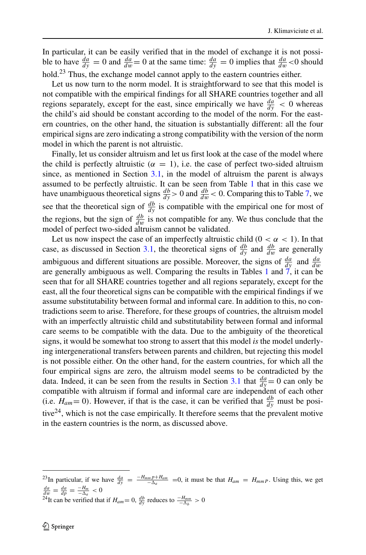In particular, it can be easily verified that in the model of exchange it is not possible to have  $\frac{da}{dy} = 0$  and  $\frac{da}{dw} = 0$  at the same time:  $\frac{da}{dy} = 0$  implies that  $\frac{da}{dw} < 0$  should hold.<sup>[23](#page-25-0)</sup> Thus, the exchange model cannot apply to the eastern countries either.

Let us now turn to the norm model. It is straightforward to see that this model is not compatible with the empirical findings for all SHARE countries together and all regions separately, except for the east, since empirically we have  $\frac{da}{dy} < 0$  whereas the child's aid should be constant according to the model of the norm. For the eastern countries, on the other hand, the situation is substantially different: all the four empirical signs are zero indicating a strong compatibility with the version of the norm model in which the parent is not altruistic.

Finally, let us consider altruism and let us first look at the case of the model where the child is perfectly altruistic  $(\alpha = 1)$ , i.e. the case of perfect two-sided altruism since, as mentioned in Section [3.1,](#page-4-1) in the model of altruism the parent is always assumed to be perfectly altruistic. It can be seen from Table [1](#page-10-0) that in this case we have unambiguous theoretical signs  $\frac{db}{dy}$  > 0 and  $\frac{db}{dw}$  < 0. Comparing this to Table [7,](#page-24-0) we see that the theoretical sign of  $\frac{db}{dy}$  is compatible with the empirical one for most of the regions, but the sign of  $\frac{db}{dw}$  is not compatible for any. We thus conclude that the model of perfect two-sided altruism cannot be validated.

Let us now inspect the case of an imperfectly altruistic child  $(0 < \alpha < 1)$ . In that case, as discussed in Section [3.1,](#page-4-1) the theoretical signs of  $\frac{db}{dy}$  and  $\frac{db}{dw}$  are generally ambiguous and different situations are possible. Moreover, the signs of  $\frac{da}{dy}$  and  $\frac{da}{dw}$ are generally ambiguous as well. Comparing the results in Tables [1](#page-10-0) and  $\tilde{7}$ , it can be seen that for all SHARE countries together and all regions separately, except for the east, all the four theoretical signs can be compatible with the empirical findings if we assume substitutability between formal and informal care. In addition to this, no contradictions seem to arise. Therefore, for these groups of countries, the altruism model with an imperfectly altruistic child and substitutability between formal and informal care seems to be compatible with the data. Due to the ambiguity of the theoretical signs, it would be somewhat too strong to assert that this model *is* the model underlying intergenerational transfers between parents and children, but rejecting this model is not possible either. On the other hand, for the eastern countries, for which all the four empirical signs are zero, the altruism model seems to be contradicted by the data. Indeed, it can be seen from the results in Section [3.1](#page-4-1) that  $\frac{da}{dy} = 0$  can only be compatible with altruism if formal and informal care are independent of each other (i.e.  $H_{am} = 0$ ). However, if that is the case, it can be verified that  $\frac{db}{dy}$  must be positive $2<sup>4</sup>$ , which is not the case empirically. It therefore seems that the prevalent motive in the eastern countries is the norm, as discussed above.

<span id="page-25-0"></span><sup>&</sup>lt;sup>23</sup>In particular, if we have  $\frac{da}{dy} = \frac{-H_{mm}p + H_{am}}{-\Delta_a} = 0$ , it must be that  $H_{am} = H_{mm}p$ . Using this, we get  $\frac{da}{dx} = \frac{da}{dx} = -\frac{H_m}{2} > 0$  $\frac{da}{dw} = \frac{da}{dp} = \frac{-H_m}{-\Delta_a} < 0$ 

<span id="page-25-1"></span><sup>&</sup>lt;sup>24</sup>It can be verified that if  $H_{am} = 0$ ,  $\frac{db}{dy}$  reduces to  $\frac{-H_{mm}}{-\Delta_b} > 0$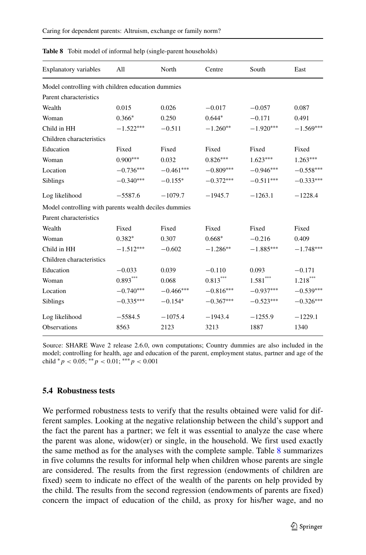| <b>Explanatory variables</b>                          | All                    | North       | Centre                 | South                  | East        |
|-------------------------------------------------------|------------------------|-------------|------------------------|------------------------|-------------|
| Model controlling with children education dummies     |                        |             |                        |                        |             |
| Parent characteristics                                |                        |             |                        |                        |             |
| Wealth                                                | 0.015                  | 0.026       | $-0.017$               | $-0.057$               | 0.087       |
| Woman                                                 | $0.366*$               | 0.250       | $0.644*$               | $-0.171$               | 0.491       |
| Child in HH                                           | $-1.522***$            | $-0.511$    | $-1.260**$             | $-1.920***$            | $-1.569***$ |
| Children characteristics                              |                        |             |                        |                        |             |
| Education                                             | Fixed                  | Fixed       | Fixed                  | Fixed                  | Fixed       |
| Woman                                                 | $0.900***$             | 0.032       | $0.826***$             | $1.623***$             | $1.263***$  |
| Location                                              | $-0.736***$            | $-0.461***$ | $-0.809***$            | $-0.946***$            | $-0.558***$ |
| Siblings                                              | $-0.340***$            | $-0.155*$   | $-0.372***$            | $-0.511***$            | $-0.333***$ |
| Log likelihood                                        | $-5587.6$              | $-1079.7$   | $-1945.7$              | $-1263.1$              | $-1228.4$   |
| Model controlling with parents wealth deciles dummies |                        |             |                        |                        |             |
| Parent characteristics                                |                        |             |                        |                        |             |
| Wealth                                                | Fixed                  | Fixed       | Fixed                  | Fixed                  | Fixed       |
| Woman                                                 | $0.382*$               | 0.307       | $0.668*$               | $-0.216$               | 0.409       |
| Child in HH                                           | $-1.512***$            | $-0.602$    | $-1.286**$             | $-1.885***$            | $-1.748***$ |
| Children characteristics                              |                        |             |                        |                        |             |
| Education                                             | $-0.033$               | 0.039       | $-0.110$               | 0.093                  | $-0.171$    |
| Woman                                                 | $0.893^{\ast\ast\ast}$ | 0.068       | $0.813^{\ast\ast\ast}$ | $1.581^{\ast\ast\ast}$ | $1.218***$  |
| Location                                              | $-0.740***$            | $-0.466***$ | $-0.816***$            | $-0.937***$            | $-0.539***$ |
| Siblings                                              | $-0.335***$            | $-0.154*$   | $-0.367***$            | $-0.523***$            | $-0.326***$ |
| Log likelihood                                        | $-5584.5$              | $-1075.4$   | $-1943.4$              | $-1255.9$              | $-1229.1$   |
| Observations                                          | 8563                   | 2123        | 3213                   | 1887                   | 1340        |

<span id="page-26-1"></span>**Table 8** Tobit model of informal help (single-parent households)

Source: SHARE Wave 2 release 2.6.0, own computations; Country dummies are also included in the model; controlling for health, age and education of the parent, employment status, partner and age of the child <sup>∗</sup>*p <* 0.05; ∗∗*p <* 0.01; ∗∗∗*p <* 0.001

### <span id="page-26-0"></span>**5.4 Robustness tests**

We performed robustness tests to verify that the results obtained were valid for different samples. Looking at the negative relationship between the child's support and the fact the parent has a partner; we felt it was essential to analyze the case where the parent was alone, widow(er) or single, in the household. We first used exactly the same method as for the analyses with the complete sample. Table [8](#page-26-1) summarizes in five columns the results for informal help when children whose parents are single are considered. The results from the first regression (endowments of children are fixed) seem to indicate no effect of the wealth of the parents on help provided by the child. The results from the second regression (endowments of parents are fixed) concern the impact of education of the child, as proxy for his/her wage, and no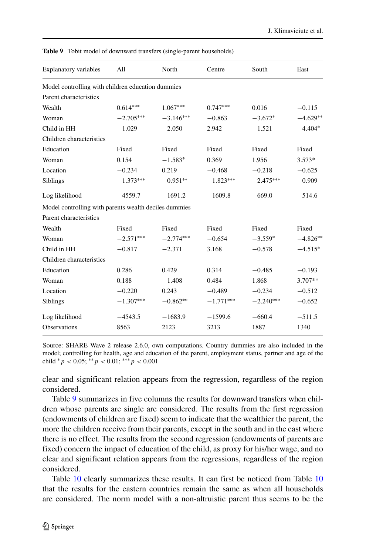| <b>Explanatory variables</b>                          | All         | North       | Centre      | South       | East       |
|-------------------------------------------------------|-------------|-------------|-------------|-------------|------------|
| Model controlling with children education dummies     |             |             |             |             |            |
| Parent characteristics                                |             |             |             |             |            |
| Wealth                                                | $0.614***$  | $1.067***$  | $0.747***$  | 0.016       | $-0.115$   |
| Woman                                                 | $-2.705***$ | $-3.146***$ | $-0.863$    | $-3.672*$   | $-4.629**$ |
| Child in HH                                           | $-1.029$    | $-2.050$    | 2.942       | $-1.521$    | $-4.404*$  |
| Children characteristics                              |             |             |             |             |            |
| Education                                             | Fixed       | Fixed       | Fixed       | Fixed       | Fixed      |
| Woman                                                 | 0.154       | $-1.583*$   | 0.369       | 1.956       | $3.573*$   |
| Location                                              | $-0.234$    | 0.219       | $-0.468$    | $-0.218$    | $-0.625$   |
| Siblings                                              | $-1.373***$ | $-0.951**$  | $-1.823***$ | $-2.475***$ | $-0.909$   |
| Log likelihood                                        | $-4559.7$   | $-1691.2$   | $-1609.8$   | $-669.0$    | $-514.6$   |
| Model controlling with parents wealth deciles dummies |             |             |             |             |            |
| Parent characteristics                                |             |             |             |             |            |
| Wealth                                                | Fixed       | Fixed       | Fixed       | Fixed       | Fixed      |
| Woman                                                 | $-2.571***$ | $-2.774***$ | $-0.654$    | $-3.559*$   | $-4.826**$ |
| Child in HH                                           | $-0.817$    | $-2.371$    | 3.168       | $-0.578$    | $-4.515*$  |
| Children characteristics                              |             |             |             |             |            |
| Education                                             | 0.286       | 0.429       | 0.314       | $-0.485$    | $-0.193$   |
| Woman                                                 | 0.188       | $-1.408$    | 0.484       | 1.868       | 3.707**    |
| Location                                              | $-0.220$    | 0.243       | $-0.489$    | $-0.234$    | $-0.512$   |
| Siblings                                              | $-1.307***$ | $-0.862**$  | $-1.771***$ | $-2.240***$ | $-0.652$   |
| Log likelihood                                        | $-4543.5$   | $-1683.9$   | $-1599.6$   | $-660.4$    | $-511.5$   |
| Observations                                          | 8563        | 2123        | 3213        | 1887        | 1340       |

<span id="page-27-0"></span>**Table 9** Tobit model of downward transfers (single-parent households)

Source: SHARE Wave 2 release 2.6.0, own computations. Country dummies are also included in the model; controlling for health, age and education of the parent, employment status, partner and age of the child <sup>∗</sup>*p <* 0.05; ∗∗*p <* 0.01; ∗∗∗*p <* 0.001

clear and significant relation appears from the regression, regardless of the region considered.

Table [9](#page-27-0) summarizes in five columns the results for downward transfers when children whose parents are single are considered. The results from the first regression (endowments of children are fixed) seem to indicate that the wealthier the parent, the more the children receive from their parents, except in the south and in the east where there is no effect. The results from the second regression (endowments of parents are fixed) concern the impact of education of the child, as proxy for his/her wage, and no clear and significant relation appears from the regressions, regardless of the region considered.

Table [10](#page-28-0) clearly summarizes these results. It can first be noticed from Table [10](#page-28-0) that the results for the eastern countries remain the same as when all households are considered. The norm model with a non-altruistic parent thus seems to be the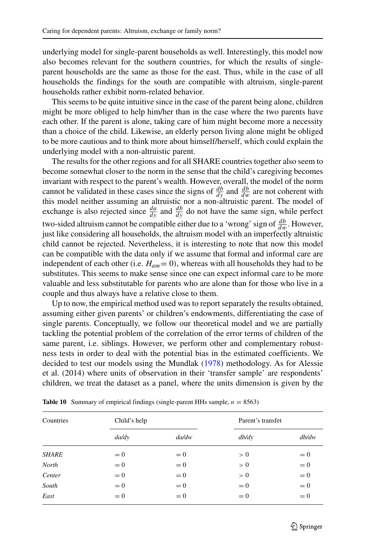underlying model for single-parent households as well. Interestingly, this model now also becomes relevant for the southern countries, for which the results of singleparent households are the same as those for the east. Thus, while in the case of all households the findings for the south are compatible with altruism, single-parent households rather exhibit norm-related behavior.

This seems to be quite intuitive since in the case of the parent being alone, children might be more obliged to help him/her than in the case where the two parents have each other. If the parent is alone, taking care of him might become more a necessity than a choice of the child. Likewise, an elderly person living alone might be obliged to be more cautious and to think more about himself/herself, which could explain the underlying model with a non-altruistic parent.

The results for the other regions and for all SHARE countries together also seem to become somewhat closer to the norm in the sense that the child's caregiving becomes invariant with respect to the parent's wealth. However, overall, the model of the norm cannot be validated in these cases since the signs of  $\frac{db}{dy}$  and  $\frac{db}{dw}$  are not coherent with this model neither assuming an altruistic nor a non-altruistic parent. The model of exchange is also rejected since  $\frac{da}{dy}$  and  $\frac{db}{dy}$  do not have the same sign, while perfect two-sided altruism cannot be compatible either due to a 'wrong' sign of  $\frac{db}{dw}$ . However, just like considering all households, the altruism model with an imperfectly altruistic child cannot be rejected. Nevertheless, it is interesting to note that now this model can be compatible with the data only if we assume that formal and informal care are independent of each other (i.e.  $H_{am} = 0$ ), whereas with all households they had to be substitutes. This seems to make sense since one can expect informal care to be more valuable and less substitutable for parents who are alone than for those who live in a couple and thus always have a relative close to them.

Up to now, the empirical method used was to report separately the results obtained, assuming either given parents' or children's endowments, differentiating the case of single parents. Conceptually, we follow our theoretical model and we are partially tackling the potential problem of the correlation of the error terms of children of the same parent, i.e. siblings. However, we perform other and complementary robustness tests in order to deal with the potential bias in the estimated coefficients. We decided to test our models using the Mundlak [\(1978\)](#page-38-16) methodology. As for Alessie et al. (2014) where units of observation in their 'transfer sample' are respondents' children, we treat the dataset as a panel, where the units dimension is given by the

<span id="page-28-0"></span>

| Countries    | Child's help |       |       | Parent's transfet |  |  |
|--------------|--------------|-------|-------|-------------------|--|--|
|              | da/dy        | da/dw | db/dy | db/dw             |  |  |
| <i>SHARE</i> | $= 0$        | $= 0$ | > 0   | $= 0$             |  |  |
| North        | $= 0$        | $= 0$ | > 0   | $= 0$             |  |  |
| Center       | $= 0$        | $= 0$ | > 0   | $= 0$             |  |  |
| South        | $= 0$        | $= 0$ | $= 0$ | $= 0$             |  |  |
| East         | $= 0$        | $= 0$ | $= 0$ | $= 0$             |  |  |

**Table 10** Summary of empirical findings (single-parent HHs sample,  $n = 8563$ )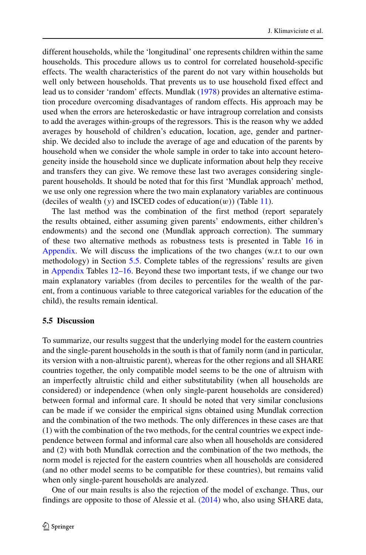different households, while the 'longitudinal' one represents children within the same households. This procedure allows us to control for correlated household-specific effects. The wealth characteristics of the parent do not vary within households but well only between households. That prevents us to use household fixed effect and lead us to consider 'random' effects. Mundlak [\(1978\)](#page-38-16) provides an alternative estimation procedure overcoming disadvantages of random effects. His approach may be used when the errors are heteroskedastic or have intragroup correlation and consists to add the averages within-groups of the regressors. This is the reason why we added averages by household of children's education, location, age, gender and partnership. We decided also to include the average of age and education of the parents by household when we consider the whole sample in order to take into account heterogeneity inside the household since we duplicate information about help they receive and transfers they can give. We remove these last two averages considering singleparent households. It should be noted that for this first 'Mundlak approach' method, we use only one regression where the two main explanatory variables are continuous (deciles of wealth  $(y)$  and ISCED codes of education $(w)$ ) (Table [11\)](#page-31-0).

The last method was the combination of the first method (report separately the results obtained, either assuming given parents' endowments, either children's endowments) and the second one (Mundlak approach correction). The summary of these two alternative methods as robustness tests is presented in Table [16](#page-36-0) in [Appendix.](#page-31-1) We will discuss the implications of the two changes (w.r.t to our own methodology) in Section [5.5.](#page-29-0) Complete tables of the regressions' results are given in [Appendix](#page-31-1) Tables [12–](#page-32-0)[16.](#page-36-0) Beyond these two important tests, if we change our two main explanatory variables (from deciles to percentiles for the wealth of the parent, from a continuous variable to three categorical variables for the education of the child), the results remain identical.

### <span id="page-29-0"></span>**5.5 Discussion**

To summarize, our results suggest that the underlying model for the eastern countries and the single-parent households in the south is that of family norm (and in particular, its version with a non-altruistic parent), whereas for the other regions and all SHARE countries together, the only compatible model seems to be the one of altruism with an imperfectly altruistic child and either substitutability (when all households are considered) or independence (when only single-parent households are considered) between formal and informal care. It should be noted that very similar conclusions can be made if we consider the empirical signs obtained using Mundlak correction and the combination of the two methods. The only differences in these cases are that (1) with the combination of the two methods, for the central countries we expect independence between formal and informal care also when all households are considered and (2) with both Mundlak correction and the combination of the two methods, the norm model is rejected for the eastern countries when all households are considered (and no other model seems to be compatible for these countries), but remains valid when only single-parent households are analyzed.

One of our main results is also the rejection of the model of exchange. Thus, our findings are opposite to those of Alessie et al. [\(2014\)](#page-37-0) who, also using SHARE data,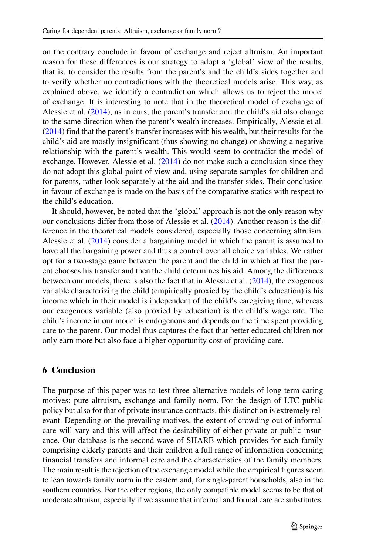on the contrary conclude in favour of exchange and reject altruism. An important reason for these differences is our strategy to adopt a 'global' view of the results, that is, to consider the results from the parent's and the child's sides together and to verify whether no contradictions with the theoretical models arise. This way, as explained above, we identify a contradiction which allows us to reject the model of exchange. It is interesting to note that in the theoretical model of exchange of Alessie et al. [\(2014\)](#page-37-0), as in ours, the parent's transfer and the child's aid also change to the same direction when the parent's wealth increases. Empirically, Alessie et al. [\(2014\)](#page-37-0) find that the parent's transfer increases with his wealth, but their results for the child's aid are mostly insignificant (thus showing no change) or showing a negative relationship with the parent's wealth. This would seem to contradict the model of exchange. However, Alessie et al.  $(2014)$  do not make such a conclusion since they do not adopt this global point of view and, using separate samples for children and for parents, rather look separately at the aid and the transfer sides. Their conclusion in favour of exchange is made on the basis of the comparative statics with respect to the child's education.

It should, however, be noted that the 'global' approach is not the only reason why our conclusions differ from those of Alessie et al. [\(2014\)](#page-37-0). Another reason is the difference in the theoretical models considered, especially those concerning altruism. Alessie et al. [\(2014\)](#page-37-0) consider a bargaining model in which the parent is assumed to have all the bargaining power and thus a control over all choice variables. We rather opt for a two-stage game between the parent and the child in which at first the parent chooses his transfer and then the child determines his aid. Among the differences between our models, there is also the fact that in Alessie et al. [\(2014\)](#page-37-0), the exogenous variable characterizing the child (empirically proxied by the child's education) is his income which in their model is independent of the child's caregiving time, whereas our exogenous variable (also proxied by education) is the child's wage rate. The child's income in our model is endogenous and depends on the time spent providing care to the parent. Our model thus captures the fact that better educated children not only earn more but also face a higher opportunity cost of providing care.

# <span id="page-30-0"></span>**6 Conclusion**

The purpose of this paper was to test three alternative models of long-term caring motives: pure altruism, exchange and family norm. For the design of LTC public policy but also for that of private insurance contracts, this distinction is extremely relevant. Depending on the prevailing motives, the extent of crowding out of informal care will vary and this will affect the desirability of either private or public insurance. Our database is the second wave of SHARE which provides for each family comprising elderly parents and their children a full range of information concerning financial transfers and informal care and the characteristics of the family members. The main result is the rejection of the exchange model while the empirical figures seem to lean towards family norm in the eastern and, for single-parent households, also in the southern countries. For the other regions, the only compatible model seems to be that of moderate altruism, especially if we assume that informal and formal care are substitutes.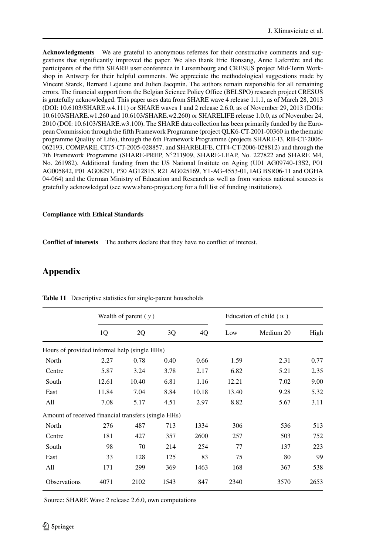**Acknowledgments** We are grateful to anonymous referees for their constructive comments and suggestions that significantly improved the paper. We also thank Eric Bonsang, Anne Laferrère and the participants of the fifth SHARE user conference in Luxembourg and CRESUS project Mid-Term Workshop in Antwerp for their helpful comments. We appreciate the methodological suggestions made by Vincent Starck, Bernard Lejeune and Julien Jacqmin. The authors remain responsible for all remaining errors. The financial support from the Belgian Science Policy Office (BELSPO) research project CRESUS is gratefully acknowledged. This paper uses data from SHARE wave 4 release 1.1.1, as of March 28, 2013 (DOI: 10.6103/SHARE.w4.111) or SHARE waves 1 and 2 release 2.6.0, as of November 29, 2013 (DOIs: 10.6103/SHARE.w1.260 and 10.6103/SHARE.w2.260) or SHARELIFE release 1.0.0, as of November 24, 2010 (DOI: 10.6103/SHARE.w3.100). The SHARE data collection has been primarily funded by the European Commission through the fifth Framework Programme (project QLK6-CT-2001-00360 in the thematic programme Quality of Life), through the 6th Framework Programme (projects SHARE-I3, RII-CT-2006- 062193, COMPARE, CIT5-CT-2005-028857, and SHARELIFE, CIT4-CT-2006-028812) and through the 7th Framework Programme (SHARE-PREP, N◦211909, SHARE-LEAP, No. 227822 and SHARE M4, No. 261982). Additional funding from the US National Institute on Aging (U01 AG09740-13S2, P01 AG005842, P01 AG08291, P30 AG12815, R21 AG025169, Y1-AG-4553-01, IAG BSR06-11 and OGHA 04-064) and the German Ministry of Education and Research as well as from various national sources is gratefully acknowledged (see www.share-project.org for a full list of funding institutions).

#### **Compliance with Ethical Standards**

<span id="page-31-1"></span>**Conflict of interests** The authors declare that they have no conflict of interest.

# **Appendix**

<span id="page-31-0"></span>

|                                                     | Wealth of parent $(y)$ |       |      |       |       | Education of child $(w)$ |      |
|-----------------------------------------------------|------------------------|-------|------|-------|-------|--------------------------|------|
|                                                     | 1Q                     | 2Q    | 3Q   | 4Q    | Low   | Medium 20                | High |
| Hours of provided informal help (single HHs)        |                        |       |      |       |       |                          |      |
| North                                               | 2.27                   | 0.78  | 0.40 | 0.66  | 1.59  | 2.31                     | 0.77 |
| Centre                                              | 5.87                   | 3.24  | 3.78 | 2.17  | 6.82  | 5.21                     | 2.35 |
| South                                               | 12.61                  | 10.40 | 6.81 | 1.16  | 12.21 | 7.02                     | 9.00 |
| East                                                | 11.84                  | 7.04  | 8.84 | 10.18 | 13.40 | 9.28                     | 5.32 |
| All                                                 | 7.08                   | 5.17  | 4.51 | 2.97  | 8.82  | 5.67                     | 3.11 |
| Amount of received financial transfers (single HHs) |                        |       |      |       |       |                          |      |
| North                                               | 276                    | 487   | 713  | 1334  | 306   | 536                      | 513  |
| Centre                                              | 181                    | 427   | 357  | 2600  | 257   | 503                      | 752  |
| South                                               | 98                     | 70    | 214  | 254   | 77    | 137                      | 223  |
| East                                                | 33                     | 128   | 125  | 83    | 75    | 80                       | 99   |
| All                                                 | 171                    | 299   | 369  | 1463  | 168   | 367                      | 538  |
| <b>Observations</b>                                 | 4071                   | 2102  | 1543 | 847   | 2340  | 3570                     | 2653 |

**Table 11** Descriptive statistics for single-parent households

Source: SHARE Wave 2 release 2.6.0, own computations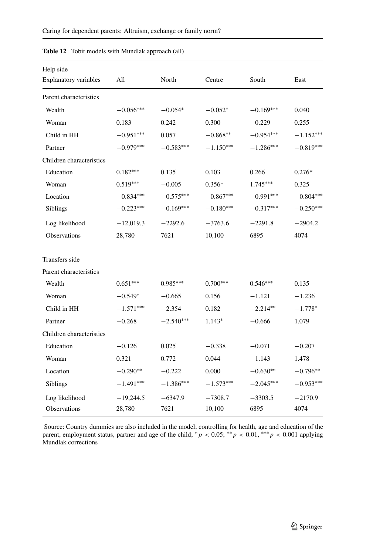| Help side                |             |             |             |             |             |
|--------------------------|-------------|-------------|-------------|-------------|-------------|
| Explanatory variables    | All         | North       | Centre      | South       | East        |
| Parent characteristics   |             |             |             |             |             |
| Wealth                   | $-0.056***$ | $-0.054*$   | $-0.052*$   | $-0.169***$ | 0.040       |
| Woman                    | 0.183       | 0.242       | 0.300       | $-0.229$    | 0.255       |
| Child in HH              | $-0.951***$ | 0.057       | $-0.868**$  | $-0.954***$ | $-1.152***$ |
| Partner                  | $-0.979***$ | $-0.583***$ | $-1.150***$ | $-1.286***$ | $-0.819***$ |
| Children characteristics |             |             |             |             |             |
| Education                | $0.182***$  | 0.135       | 0.103       | 0.266       | $0.276*$    |
| Woman                    | $0.519***$  | $-0.005$    | $0.356*$    | $1.745***$  | 0.325       |
| Location                 | $-0.834***$ | $-0.575***$ | $-0.867***$ | $-0.991***$ | $-0.804***$ |
| Siblings                 | $-0.223***$ | $-0.169***$ | $-0.180***$ | $-0.317***$ | $-0.250***$ |
| Log likelihood           | $-12,019.3$ | $-2292.6$   | $-3763.6$   | $-2291.8$   | $-2904.2$   |
| Observations             | 28,780      | 7621        | 10,100      | 6895        | 4074        |
| Transfers side           |             |             |             |             |             |
| Parent characteristics   |             |             |             |             |             |
| Wealth                   | $0.651***$  | $0.985***$  | $0.700***$  | $0.546***$  | 0.135       |
| Woman                    | $-0.549*$   | $-0.665$    | 0.156       | $-1.121$    | $-1.236$    |
| Child in HH              | $-1.571***$ | $-2.354$    | 0.182       | $-2.214**$  | $-1.778*$   |
| Partner                  | $-0.268$    | $-2.540***$ | 1.143*      | $-0.666$    | 1.079       |
| Children characteristics |             |             |             |             |             |
| Education                | $-0.126$    | 0.025       | $-0.338$    | $-0.071$    | $-0.207$    |
| Woman                    | 0.321       | 0.772       | 0.044       | $-1.143$    | 1.478       |
| Location                 | $-0.290**$  | $-0.222$    | 0.000       | $-0.630**$  | $-0.796**$  |
| Siblings                 | $-1.491***$ | $-1.386***$ | $-1.573***$ | $-2.045***$ | $-0.953***$ |
| Log likelihood           | $-19,244.5$ | $-6347.9$   | $-7308.7$   | $-3303.5$   | $-2170.9$   |
| Observations             | 28,780      | 7621        | 10,100      | 6895        | 4074        |

### <span id="page-32-0"></span>**Table 12** Tobit models with Mundlak approach (all)

Source: Country dummies are also included in the model; controlling for health, age and education of the parent, employment status, partner and age of the child; <sup>∗</sup>*p <* 0.05; ∗∗*p <* 0.01, ∗∗∗*p <* 0.001 applying Mundlak corrections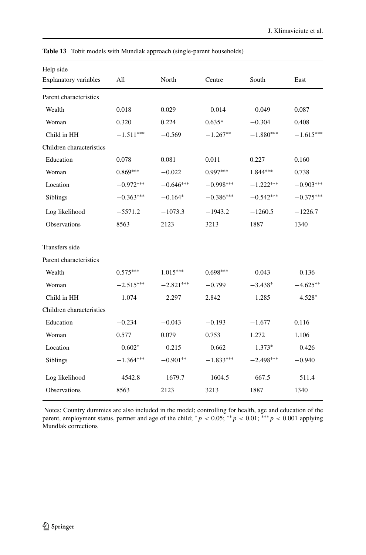| Help side                    |             |             |             |             |             |
|------------------------------|-------------|-------------|-------------|-------------|-------------|
| <b>Explanatory variables</b> | All         | North       | Centre      | South       | East        |
| Parent characteristics       |             |             |             |             |             |
| Wealth                       | 0.018       | 0.029       | $-0.014$    | $-0.049$    | 0.087       |
| Woman                        | 0.320       | 0.224       | $0.635*$    | $-0.304$    | 0.408       |
| Child in HH                  | $-1.511***$ | $-0.569$    | $-1.267**$  | $-1.880***$ | $-1.615***$ |
| Children characteristics     |             |             |             |             |             |
| Education                    | 0.078       | 0.081       | 0.011       | 0.227       | 0.160       |
| Woman                        | $0.869***$  | $-0.022$    | $0.997***$  | 1.844***    | 0.738       |
| Location                     | $-0.972***$ | $-0.646***$ | $-0.998***$ | $-1.222***$ | $-0.903***$ |
| Siblings                     | $-0.363***$ | $-0.164*$   | $-0.386***$ | $-0.542***$ | $-0.375***$ |
| Log likelihood               | $-5571.2$   | $-1073.3$   | $-1943.2$   | $-1260.5$   | $-1226.7$   |
| Observations                 | 8563        | 2123        | 3213        | 1887        | 1340        |
| Transfers side               |             |             |             |             |             |
| Parent characteristics       |             |             |             |             |             |
| Wealth                       | $0.575***$  | $1.015***$  | $0.698***$  | $-0.043$    | $-0.136$    |
| Woman                        | $-2.515***$ | $-2.821***$ | $-0.799$    | $-3.438*$   | $-4.625**$  |
| Child in HH                  | $-1.074$    | $-2.297$    | 2.842       | $-1.285$    | $-4.528*$   |
| Children characteristics     |             |             |             |             |             |
| Education                    | $-0.234$    | $-0.043$    | $-0.193$    | $-1.677$    | 0.116       |
| Woman                        | 0.577       | 0.079       | 0.753       | 1.272       | 1.106       |
| Location                     | $-0.602*$   | $-0.215$    | $-0.662$    | $-1.373*$   | $-0.426$    |
| Siblings                     | $-1.364***$ | $-0.901**$  | $-1.833***$ | $-2.498***$ | $-0.940$    |
| Log likelihood               | $-4542.8$   | $-1679.7$   | $-1604.5$   | $-667.5$    | $-511.4$    |
| Observations                 | 8563        | 2123        | 3213        | 1887        | 1340        |

**Table 13** Tobit models with Mundlak approach (single-parent households)

Notes: Country dummies are also included in the model; controlling for health, age and education of the parent, employment status, partner and age of the child;  $* p < 0.05$ ;  $* p < 0.01$ ;  $* * p < 0.001$  applying Mundlak corrections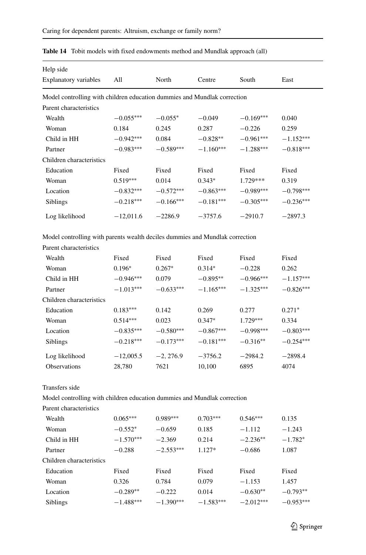| Help side                                                                |             |             |             |             |             |  |  |  |
|--------------------------------------------------------------------------|-------------|-------------|-------------|-------------|-------------|--|--|--|
| <b>Explanatory variables</b>                                             | All         | North       | Centre      | South       | East        |  |  |  |
| Model controlling with children education dummies and Mundlak correction |             |             |             |             |             |  |  |  |
| Parent characteristics                                                   |             |             |             |             |             |  |  |  |
| Wealth                                                                   | $-0.055***$ | $-0.055*$   | $-0.049$    | $-0.169***$ | 0.040       |  |  |  |
| Woman                                                                    | 0.184       | 0.245       | 0.287       | $-0.226$    | 0.259       |  |  |  |
| Child in HH                                                              | $-0.942***$ | 0.084       | $-0.828**$  | $-0.961***$ | $-1.152***$ |  |  |  |
| Partner                                                                  | $-0.983***$ | $-0.589***$ | $-1.160***$ | $-1.288***$ | $-0.818***$ |  |  |  |
| Children characteristics                                                 |             |             |             |             |             |  |  |  |
| Education                                                                | Fixed       | Fixed       | Fixed       | Fixed       | Fixed       |  |  |  |
| Woman                                                                    | $0.519***$  | 0.014       | $0.343*$    | $1.729***$  | 0.319       |  |  |  |
| Location                                                                 | $-0.832***$ | $-0.572***$ | $-0.863***$ | $-0.989***$ | $-0.798***$ |  |  |  |
| Siblings                                                                 | $-0.218***$ | $-0.166***$ | $-0.181***$ | $-0.305***$ | $-0.236***$ |  |  |  |
| Log likelihood                                                           | $-12,011.6$ | $-2286.9$   | $-3757.6$   | $-2910.7$   | $-2897.3$   |  |  |  |

#### **Table 14** Tobit models with fixed endowments method and Mundlak approach (all)

Model controlling with parents wealth deciles dummies and Mundlak correction

Parent characteristics

| Wealth                   | Fixed       | Fixed       | Fixed       | Fixed       | Fixed       |
|--------------------------|-------------|-------------|-------------|-------------|-------------|
| Woman                    | $0.196*$    | $0.267*$    | $0.314*$    | $-0.228$    | 0.262       |
| Child in HH              | $-0.946***$ | 0.079       | $-0.895**$  | $-0.966***$ | $-1.157***$ |
| Partner                  | $-1.013***$ | $-0.633***$ | $-1.165***$ | $-1.325***$ | $-0.826***$ |
| Children characteristics |             |             |             |             |             |
| Education                | $0.183***$  | 0.142       | 0.269       | 0.277       | $0.271*$    |
| Woman                    | $0.514***$  | 0.023       | $0.347*$    | $1.729***$  | 0.334       |
| Location                 | $-0.835***$ | $-0.580***$ | $-0.867***$ | $-0.998***$ | $-0.803***$ |
| <b>Siblings</b>          | $-0.218***$ | $-0.173***$ | $-0.181***$ | $-0.316**$  | $-0.254***$ |
| Log likelihood           | $-12,005.5$ | $-2.276.9$  | $-3756.2$   | $-2984.2$   | $-2898.4$   |
| <b>Observations</b>      | 28.780      | 7621        | 10.100      | 6895        | 4074        |

Transfers side

Model controlling with children education dummies and Mundlak correction

Parent characteristics

| Wealth                   | $0.065***$  | $0.989***$  | $0.703***$  | $0.546***$  | 0.135       |
|--------------------------|-------------|-------------|-------------|-------------|-------------|
| Woman                    | $-0.552*$   | $-0.659$    | 0.185       | $-1.112$    | $-1.243$    |
| Child in HH              | $-1.570***$ | $-2.369$    | 0.214       | $-2.236**$  | $-1.782*$   |
| Partner                  | $-0.288$    | $-2.553***$ | $1.127*$    | $-0.686$    | 1.087       |
| Children characteristics |             |             |             |             |             |
| Education                | Fixed       | Fixed       | Fixed       | Fixed       | Fixed       |
| Woman                    | 0.326       | 0.784       | 0.079       | $-1.153$    | 1.457       |
| Location                 | $-0.289**$  | $-0.222$    | 0.014       | $-0.630**$  | $-0.793**$  |
| <b>Siblings</b>          | $-1.488***$ | $-1.390***$ | $-1.583***$ | $-2.012***$ | $-0.953***$ |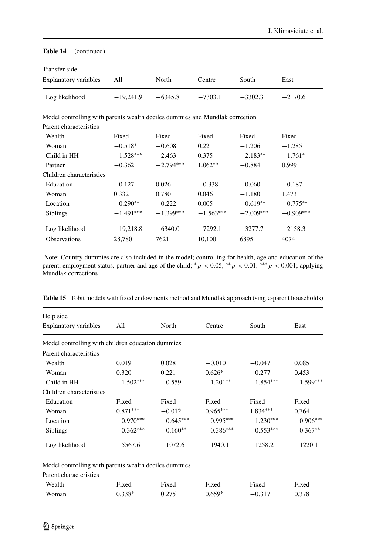| Transfer side                                                                |             |             |             |             |             |  |  |  |
|------------------------------------------------------------------------------|-------------|-------------|-------------|-------------|-------------|--|--|--|
| Explanatory variables                                                        | All         | North       | Centre      | South       | East        |  |  |  |
| Log likelihood                                                               | $-19,241.9$ | $-6345.8$   | $-7303.1$   | $-3302.3$   | $-2170.6$   |  |  |  |
| Model controlling with parents wealth deciles dummies and Mundlak correction |             |             |             |             |             |  |  |  |
| Parent characteristics                                                       |             |             |             |             |             |  |  |  |
| Wealth                                                                       | Fixed       | Fixed       | Fixed       | Fixed       | Fixed       |  |  |  |
| Woman                                                                        | $-0.518*$   | $-0.608$    | 0.221       | $-1.206$    | $-1.285$    |  |  |  |
| Child in HH                                                                  | $-1.528***$ | $-2.463$    | 0.375       | $-2.183**$  | $-1.761*$   |  |  |  |
| Partner                                                                      | $-0.362$    | $-2.794***$ | $1.062**$   | $-0.884$    | 0.999       |  |  |  |
| Children characteristics                                                     |             |             |             |             |             |  |  |  |
| Education                                                                    | $-0.127$    | 0.026       | $-0.338$    | $-0.060$    | $-0.187$    |  |  |  |
| Woman                                                                        | 0.332       | 0.780       | 0.046       | $-1.180$    | 1.473       |  |  |  |
| Location                                                                     | $-0.290**$  | $-0.222$    | 0.005       | $-0.619**$  | $-0.775**$  |  |  |  |
| <b>Siblings</b>                                                              | $-1.491***$ | $-1.399***$ | $-1.563***$ | $-2.009***$ | $-0.909***$ |  |  |  |
| Log likelihood                                                               | $-19,218.8$ | $-6340.0$   | $-7292.1$   | $-3277.7$   | $-2158.3$   |  |  |  |
| <b>Observations</b>                                                          | 28,780      | 7621        | 10,100      | 6895        | 4074        |  |  |  |

### **Table 14** (continued)

Note: Country dummies are also included in the model; controlling for health, age and education of the parent, employment status, partner and age of the child;  $p < 0.05$ , \*\**p* < 0.01, \*\*\* *p* < 0.001; applying Mundlak corrections

| Help side<br><b>Explanatory variables</b>         | All         | North       | Centre      | South       | East        |
|---------------------------------------------------|-------------|-------------|-------------|-------------|-------------|
|                                                   |             |             |             |             |             |
| Model controlling with children education dummies |             |             |             |             |             |
| Parent characteristics                            |             |             |             |             |             |
| Wealth                                            | 0.019       | 0.028       | $-0.010$    | $-0.047$    | 0.085       |
| Woman                                             | 0.320       | 0.221       | $0.626*$    | $-0.277$    | 0.453       |
| Child in HH                                       | $-1.502***$ | $-0.559$    | $-1.201**$  | $-1.854***$ | $-1.599***$ |
| Children characteristics                          |             |             |             |             |             |
| Education                                         | Fixed       | Fixed       | Fixed       | Fixed       | Fixed       |
| Woman                                             | $0.871***$  | $-0.012$    | $0.965***$  | $1.834***$  | 0.764       |
| Location                                          | $-0.970***$ | $-0.645***$ | $-0.995***$ | $-1.230***$ | $-0.906***$ |
| <b>Siblings</b>                                   | $-0.362***$ | $-0.160**$  | $-0.386***$ | $-0.553***$ | $-0.367**$  |
| Log likelihood                                    | $-5567.6$   | $-1072.6$   | $-1940.1$   | $-1258.2$   | $-1220.1$   |

**Table 15** Tobit models with fixed endowments method and Mundlak approach (single-parent households)

Model controlling with parents wealth deciles dummies

Parent characteristics

| Wealth | Fixed    | Fixed | Fixed    | Fixed    | Fixed |
|--------|----------|-------|----------|----------|-------|
| Woman  | $0.338*$ | 0.275 | $0.659*$ | $-0.317$ | 0.378 |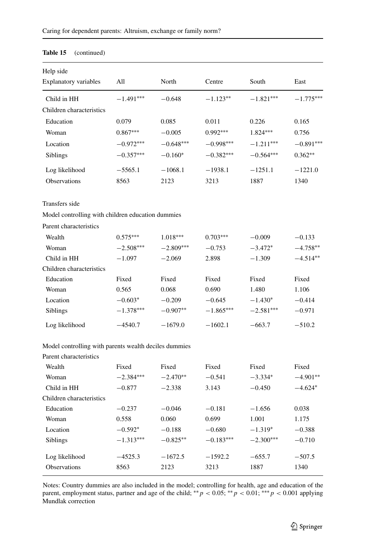<span id="page-36-0"></span>

| Table 15<br>(continued) |
|-------------------------|
|-------------------------|

| Help side                                             |             |             |             |             |             |
|-------------------------------------------------------|-------------|-------------|-------------|-------------|-------------|
| <b>Explanatory variables</b>                          | All         | North       | Centre      | South       | East        |
| Child in HH                                           | $-1.491***$ | $-0.648$    | $-1.123**$  | $-1.821***$ | $-1.775***$ |
| Children characteristics                              |             |             |             |             |             |
| Education                                             | 0.079       | 0.085       | 0.011       | 0.226       | 0.165       |
| Woman                                                 | $0.867***$  | $-0.005$    | $0.992***$  | 1.824***    | 0.756       |
| Location                                              | $-0.972***$ | $-0.648***$ | $-0.998***$ | $-1.211***$ | $-0.891***$ |
| Siblings                                              | $-0.357***$ | $-0.160*$   | $-0.382***$ | $-0.564***$ | $0.362**$   |
| Log likelihood                                        | $-5565.1$   | $-1068.1$   | $-1938.1$   | $-1251.1$   | $-1221.0$   |
| Observations                                          | 8563        | 2123        | 3213        | 1887        | 1340        |
| Transfers side                                        |             |             |             |             |             |
| Model controlling with children education dummies     |             |             |             |             |             |
| Parent characteristics                                |             |             |             |             |             |
| Wealth                                                | $0.575***$  | $1.018***$  | $0.703***$  | $-0.009$    | $-0.133$    |
| Woman                                                 | $-2.508***$ | $-2.809***$ | $-0.753$    | $-3.472*$   | $-4.758**$  |
| Child in HH                                           | $-1.097$    | $-2.069$    | 2.898       | $-1.309$    | $-4.514**$  |
| Children characteristics                              |             |             |             |             |             |
| Education                                             | Fixed       | Fixed       | Fixed       | Fixed       | Fixed       |
| Woman                                                 | 0.565       | 0.068       | 0.690       | 1.480       | 1.106       |
| Location                                              | $-0.603*$   | $-0.209$    | $-0.645$    | $-1.430*$   | $-0.414$    |
| Siblings                                              | $-1.378***$ | $-0.907**$  | $-1.865***$ | $-2.581***$ | $-0.971$    |
| Log likelihood                                        | $-4540.7$   | $-1679.0$   | $-1602.1$   | $-663.7$    | $-510.2$    |
| Model controlling with parents wealth deciles dummies |             |             |             |             |             |
| Parent characteristics                                |             |             |             |             |             |
| Wealth                                                | Fixed       | Fixed       | Fixed       | Fixed       | Fixed       |
| Woman                                                 | $-2.384***$ | $-2.470**$  | $-0.541$    | $-3.334*$   | $-4.901**$  |
| Child in HH                                           | $-0.877$    | $-2.338$    | 3.143       | $-0.450$    | $-4.624*$   |
| Children characteristics                              |             |             |             |             |             |
| Education                                             | $-0.237$    | $-0.046$    | $-0.181$    | $-1.656$    | 0.038       |
| Woman                                                 | 0.558       | 0.060       | 0.699       | 1.001       | 1.175       |
| Location                                              | $-0.592*$   | $-0.188$    | $-0.680$    | $-1.319*$   | $-0.388$    |
| Siblings                                              | $-1.313***$ | $-0.825**$  | $-0.183***$ | $-2.300***$ | $-0.710$    |
| Log likelihood                                        | $-4525.3$   | $-1672.5$   | $-1592.2$   | $-655.7$    | $-507.5$    |
| Observations                                          | 8563        | 2123        | 3213        | 1887        | 1340        |

Notes: Country dummies are also included in the model; controlling for health, age and education of the parent, employment status, partner and age of the child; ∗∗*p <* 0.05; ∗∗*p <* 0.01; ∗∗∗*p <* 0.001 applying Mundlak correction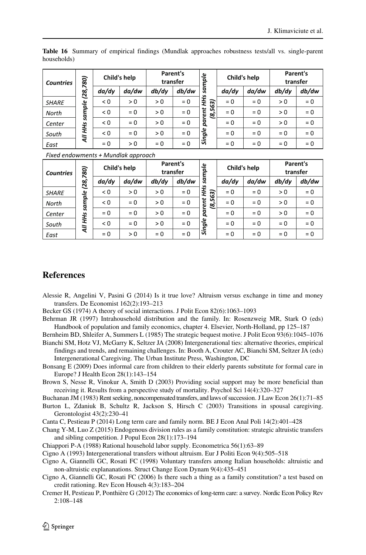| <b>Countries</b> | 80)<br>N<br>28,<br>sample<br>HНs<br>₹ | Child's help |       | Parent's<br>transfer |       | sample                                                   | Child's help |       | Parent's<br>transfer |       |
|------------------|---------------------------------------|--------------|-------|----------------------|-------|----------------------------------------------------------|--------------|-------|----------------------|-------|
|                  |                                       | da/dy        | da/dw | db/dy                | db/dw | n<br>£<br>63)<br>ent<br>ιñ<br>જી<br>pa<br>ω<br>Ź,<br>Sin | da/dy        | da/dw | db/dy                | db/dw |
| <b>SHARE</b>     |                                       | < 0          | > 0   | > 0                  | $= 0$ |                                                          | $= 0$        | $= 0$ | > 0                  | $= 0$ |
| North            |                                       | < 0          | $= 0$ | > 0                  | $= 0$ |                                                          | $= 0$        | $= 0$ | > 0                  | $= 0$ |
| Center           |                                       | < 0          | $= 0$ | > 0                  | $= 0$ |                                                          | $= 0$        | $= 0$ | > 0                  | $= 0$ |
| South            |                                       | < 0          | $= 0$ | > 0                  | $= 0$ |                                                          | $= 0$        | $= 0$ | $= 0$                | $= 0$ |
| East             |                                       | $= 0$        | > 0   | $= 0$                | $= 0$ |                                                          | $= 0$        | $= 0$ | $= 0$                | $= 0$ |

**Table 16** Summary of empirical findings (Mundlak approaches robustness tests/all vs. single-parent households)

Fixed endowments + Mundlak approach

| <b>Countries</b> | 80)<br>(28,<br>sample<br>HНS<br>₹ | Child's help |       | Parent's<br>transfer |       | mple                                                       | Child's help |       | Parent's<br>transfer |       |
|------------------|-----------------------------------|--------------|-------|----------------------|-------|------------------------------------------------------------|--------------|-------|----------------------|-------|
|                  |                                   | da/dy        | da/dw | db/dy                | db/dw | šã<br>n<br>£<br>63)<br>ent<br>Lŋ<br>જી<br>pa<br>gle<br>Sin | da/dy        | da/dw | db/dy                | db/dw |
| <b>SHARE</b>     |                                   | < 0          | > 0   | > 0                  | $= 0$ |                                                            | $= 0$        | $= 0$ | > 0                  | $= 0$ |
| North            |                                   | < 0          | $= 0$ | > 0                  | $= 0$ |                                                            | $= 0$        | $= 0$ | > 0                  | $= 0$ |
| Center           |                                   | $= 0$        | $= 0$ | > 0                  | $= 0$ |                                                            | $= 0$        | $= 0$ | > 0                  | $= 0$ |
| South            |                                   | < 0          | $= 0$ | > 0                  | $= 0$ |                                                            | $= 0$        | $= 0$ | $= 0$                | $= 0$ |
| East             |                                   | $= 0$        | > 0   | $= 0$                | $= 0$ |                                                            | $= 0$        | $= 0$ | $= 0$                | $= 0$ |

# **References**

- <span id="page-37-0"></span>Alessie R, Angelini V, Pasini G (2014) Is it true love? Altruism versus exchange in time and money transfers. De Economist 162(2):193–213
- <span id="page-37-6"></span>Becker GS (1974) A theory of social interactions. J Polit Econ 82(6):1063–1093
- <span id="page-37-14"></span>Behrman JR (1997) Intrahousehold distribution and the family. In: Rosenzweig MR, Stark O (eds) Handbook of population and family economics, chapter 4. Elsevier, North-Holland, pp 125–187
- <span id="page-37-9"></span>Bernheim BD, Shleifer A, Summers L (1985) The strategic bequest motive. J Polit Econ 93(6):1045–1076
- <span id="page-37-5"></span>Bianchi SM, Hotz VJ, McGarry K, Seltzer JA (2008) Intergenerational ties: alternative theories, empirical findings and trends, and remaining challenges. In: Booth A, Crouter AC, Bianchi SM, Seltzer JA (eds) Intergenerational Caregiving. The Urban Institute Press, Washington, DC
- <span id="page-37-12"></span>Bonsang E (2009) Does informal care from children to their elderly parents substitute for formal care in Europe? J Health Econ 28(1):143–154
- <span id="page-37-1"></span>Brown S, Nesse R, Vinokur A, Smith D (2003) Providing social support may be more beneficial than receiving it. Results from a perspective study of mortality. Psychol Sci 14(4):320–327
- <span id="page-37-13"></span>Buchanan JM (1983) Rent seeking, noncompensated transfers, and laws of succession. J Law Econ 26(1):71–85
- <span id="page-37-2"></span>Burton L, Zdaniuk B, Schultz R, Jackson S, Hirsch C (2003) Transitions in spousal caregiving. Gerontologist 43(2):230–41
- <span id="page-37-11"></span>Canta C, Pestieau P (2014) Long term care and family norm. BE J Econ Anal Poli 14(2):401–428
- <span id="page-37-15"></span>Chang Y-M, Luo Z (2015) Endogenous division rules as a family constitution: strategic altruistic transfers and sibling competition. J Popul Econ 28(1):173–194
- <span id="page-37-7"></span>Chiappori P-A (1988) Rational household labor supply. Econometrica 56(1):63–89
- <span id="page-37-3"></span>Cigno A (1993) Intergenerational transfers without altruism. Eur J Politi Econ 9(4):505–518
- <span id="page-37-8"></span>Cigno A, Giannelli GC, Rosati FC (1998) Voluntary transfers among Italian households: altruistic and non-altruistic explananations. Struct Change Econ Dynam 9(4):435–451
- <span id="page-37-4"></span>Cigno A, Giannelli GC, Rosati FC (2006) Is there such a thing as a family constitution? a test based on credit rationing. Rev Econ Househ 4(3):183–204
- <span id="page-37-10"></span>Cremer H, Pestieau P, Ponthière G (2012) The economics of long-term care: a survey. Nordic Econ Policy Rev 2:108–148